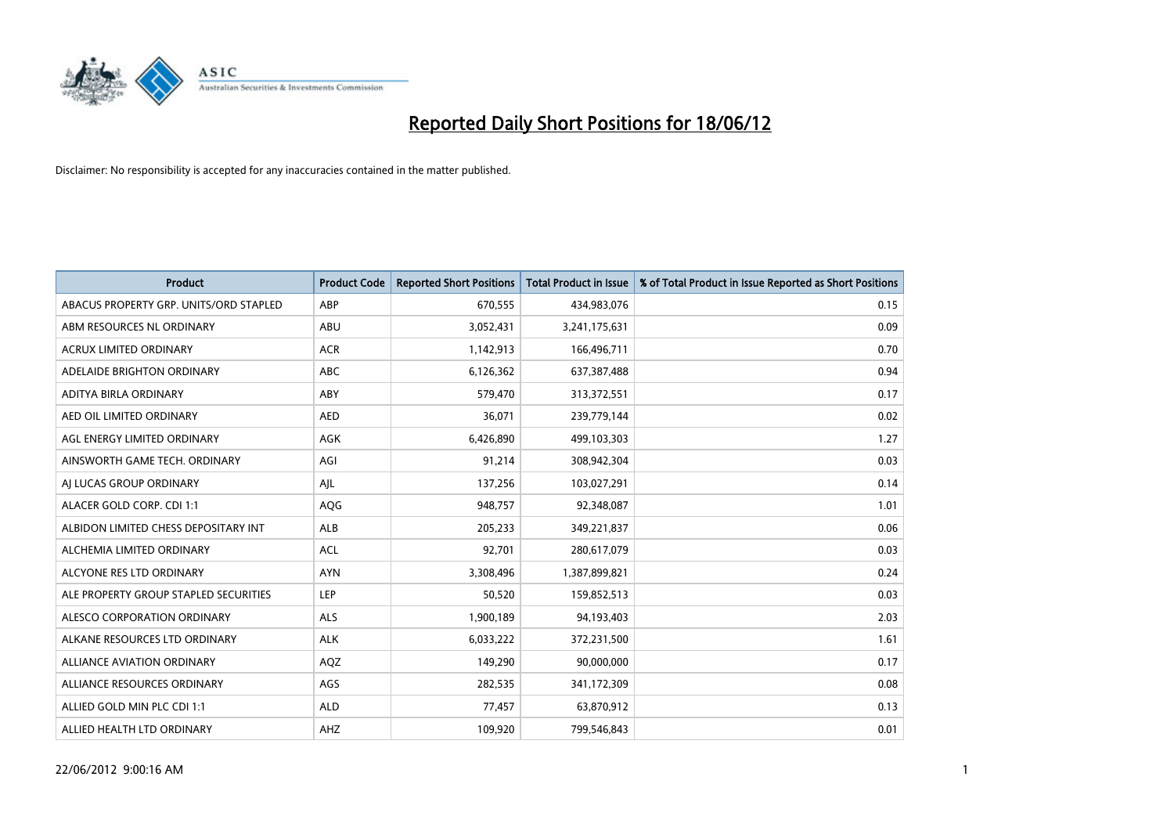

| <b>Product</b>                         | <b>Product Code</b> | <b>Reported Short Positions</b> | <b>Total Product in Issue</b> | % of Total Product in Issue Reported as Short Positions |
|----------------------------------------|---------------------|---------------------------------|-------------------------------|---------------------------------------------------------|
| ABACUS PROPERTY GRP. UNITS/ORD STAPLED | ABP                 | 670,555                         | 434,983,076                   | 0.15                                                    |
| ABM RESOURCES NL ORDINARY              | ABU                 | 3,052,431                       | 3,241,175,631                 | 0.09                                                    |
| <b>ACRUX LIMITED ORDINARY</b>          | <b>ACR</b>          | 1,142,913                       | 166,496,711                   | 0.70                                                    |
| ADELAIDE BRIGHTON ORDINARY             | <b>ABC</b>          | 6,126,362                       | 637,387,488                   | 0.94                                                    |
| ADITYA BIRLA ORDINARY                  | ABY                 | 579,470                         | 313,372,551                   | 0.17                                                    |
| AED OIL LIMITED ORDINARY               | <b>AED</b>          | 36,071                          | 239,779,144                   | 0.02                                                    |
| AGL ENERGY LIMITED ORDINARY            | AGK                 | 6,426,890                       | 499,103,303                   | 1.27                                                    |
| AINSWORTH GAME TECH. ORDINARY          | AGI                 | 91,214                          | 308,942,304                   | 0.03                                                    |
| AI LUCAS GROUP ORDINARY                | AJL                 | 137,256                         | 103,027,291                   | 0.14                                                    |
| ALACER GOLD CORP. CDI 1:1              | AQG                 | 948,757                         | 92,348,087                    | 1.01                                                    |
| ALBIDON LIMITED CHESS DEPOSITARY INT   | ALB                 | 205,233                         | 349,221,837                   | 0.06                                                    |
| ALCHEMIA LIMITED ORDINARY              | <b>ACL</b>          | 92,701                          | 280,617,079                   | 0.03                                                    |
| ALCYONE RES LTD ORDINARY               | <b>AYN</b>          | 3,308,496                       | 1,387,899,821                 | 0.24                                                    |
| ALE PROPERTY GROUP STAPLED SECURITIES  | LEP                 | 50,520                          | 159,852,513                   | 0.03                                                    |
| ALESCO CORPORATION ORDINARY            | <b>ALS</b>          | 1,900,189                       | 94,193,403                    | 2.03                                                    |
| ALKANE RESOURCES LTD ORDINARY          | <b>ALK</b>          | 6,033,222                       | 372,231,500                   | 1.61                                                    |
| ALLIANCE AVIATION ORDINARY             | AQZ                 | 149,290                         | 90,000,000                    | 0.17                                                    |
| ALLIANCE RESOURCES ORDINARY            | AGS                 | 282,535                         | 341,172,309                   | 0.08                                                    |
| ALLIED GOLD MIN PLC CDI 1:1            | <b>ALD</b>          | 77,457                          | 63,870,912                    | 0.13                                                    |
| ALLIED HEALTH LTD ORDINARY             | AHZ                 | 109,920                         | 799,546,843                   | 0.01                                                    |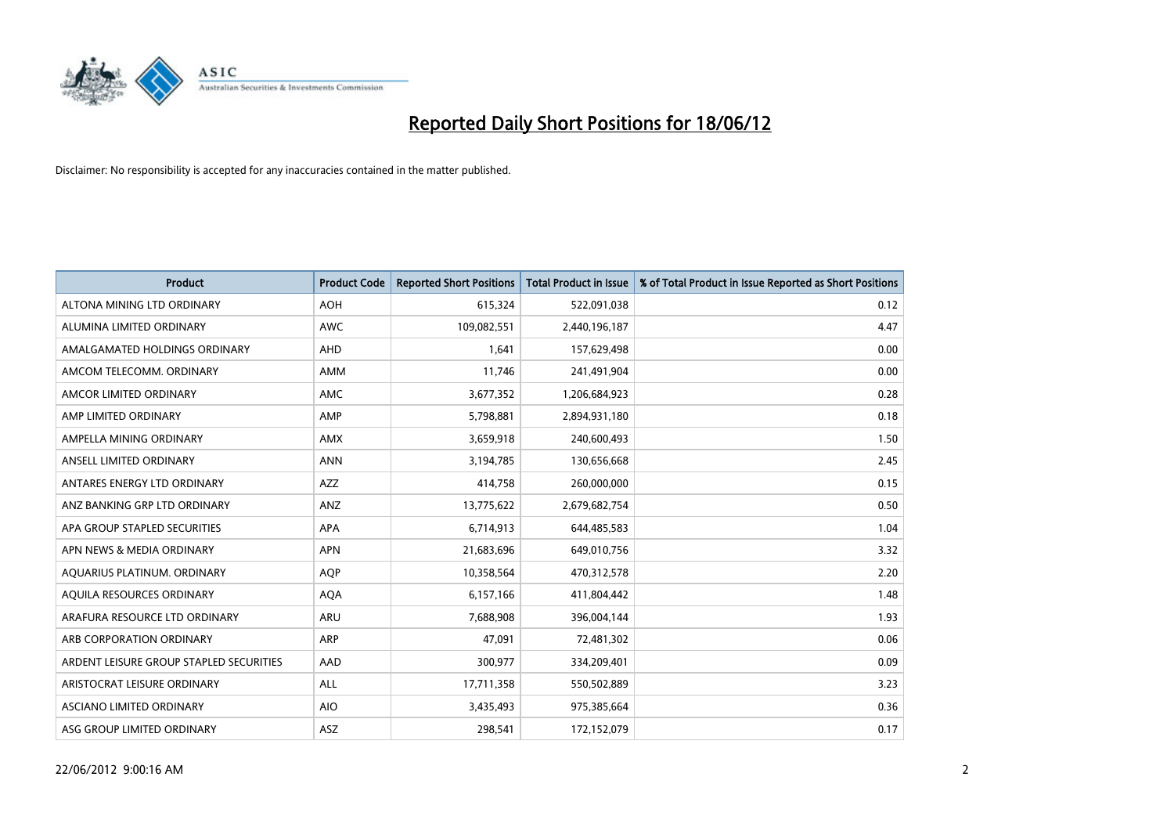

| <b>Product</b>                          | <b>Product Code</b> | <b>Reported Short Positions</b> | <b>Total Product in Issue</b> | % of Total Product in Issue Reported as Short Positions |
|-----------------------------------------|---------------------|---------------------------------|-------------------------------|---------------------------------------------------------|
| ALTONA MINING LTD ORDINARY              | <b>AOH</b>          | 615,324                         | 522,091,038                   | 0.12                                                    |
| ALUMINA LIMITED ORDINARY                | <b>AWC</b>          | 109,082,551                     | 2,440,196,187                 | 4.47                                                    |
| AMALGAMATED HOLDINGS ORDINARY           | AHD                 | 1,641                           | 157,629,498                   | 0.00                                                    |
| AMCOM TELECOMM, ORDINARY                | AMM                 | 11,746                          | 241,491,904                   | 0.00                                                    |
| AMCOR LIMITED ORDINARY                  | AMC                 | 3,677,352                       | 1,206,684,923                 | 0.28                                                    |
| AMP LIMITED ORDINARY                    | AMP                 | 5,798,881                       | 2,894,931,180                 | 0.18                                                    |
| AMPELLA MINING ORDINARY                 | <b>AMX</b>          | 3,659,918                       | 240,600,493                   | 1.50                                                    |
| ANSELL LIMITED ORDINARY                 | <b>ANN</b>          | 3,194,785                       | 130,656,668                   | 2.45                                                    |
| ANTARES ENERGY LTD ORDINARY             | AZZ                 | 414,758                         | 260,000,000                   | 0.15                                                    |
| ANZ BANKING GRP LTD ORDINARY            | ANZ                 | 13,775,622                      | 2,679,682,754                 | 0.50                                                    |
| APA GROUP STAPLED SECURITIES            | APA                 | 6,714,913                       | 644,485,583                   | 1.04                                                    |
| APN NEWS & MEDIA ORDINARY               | <b>APN</b>          | 21,683,696                      | 649,010,756                   | 3.32                                                    |
| AQUARIUS PLATINUM. ORDINARY             | <b>AQP</b>          | 10,358,564                      | 470,312,578                   | 2.20                                                    |
| AQUILA RESOURCES ORDINARY               | <b>AQA</b>          | 6,157,166                       | 411,804,442                   | 1.48                                                    |
| ARAFURA RESOURCE LTD ORDINARY           | ARU                 | 7,688,908                       | 396,004,144                   | 1.93                                                    |
| ARB CORPORATION ORDINARY                | <b>ARP</b>          | 47,091                          | 72,481,302                    | 0.06                                                    |
| ARDENT LEISURE GROUP STAPLED SECURITIES | AAD                 | 300,977                         | 334,209,401                   | 0.09                                                    |
| ARISTOCRAT LEISURE ORDINARY             | ALL                 | 17,711,358                      | 550,502,889                   | 3.23                                                    |
| ASCIANO LIMITED ORDINARY                | <b>AIO</b>          | 3,435,493                       | 975,385,664                   | 0.36                                                    |
| ASG GROUP LIMITED ORDINARY              | ASZ                 | 298,541                         | 172,152,079                   | 0.17                                                    |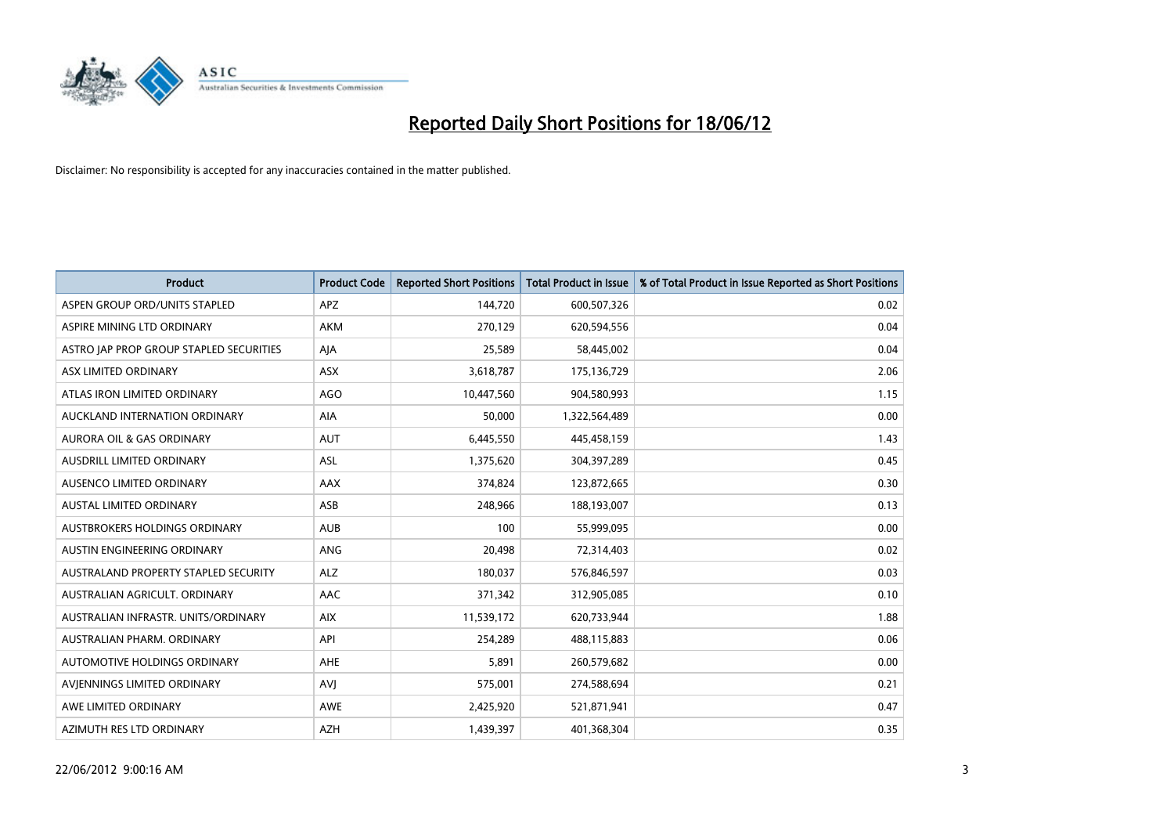

| <b>Product</b>                          | <b>Product Code</b> | <b>Reported Short Positions</b> | <b>Total Product in Issue</b> | % of Total Product in Issue Reported as Short Positions |
|-----------------------------------------|---------------------|---------------------------------|-------------------------------|---------------------------------------------------------|
| ASPEN GROUP ORD/UNITS STAPLED           | <b>APZ</b>          | 144,720                         | 600,507,326                   | 0.02                                                    |
| ASPIRE MINING LTD ORDINARY              | <b>AKM</b>          | 270,129                         | 620,594,556                   | 0.04                                                    |
| ASTRO JAP PROP GROUP STAPLED SECURITIES | AJA                 | 25,589                          | 58,445,002                    | 0.04                                                    |
| ASX LIMITED ORDINARY                    | ASX                 | 3,618,787                       | 175,136,729                   | 2.06                                                    |
| ATLAS IRON LIMITED ORDINARY             | AGO                 | 10,447,560                      | 904,580,993                   | 1.15                                                    |
| AUCKLAND INTERNATION ORDINARY           | AIA                 | 50,000                          | 1,322,564,489                 | 0.00                                                    |
| AURORA OIL & GAS ORDINARY               | <b>AUT</b>          | 6,445,550                       | 445,458,159                   | 1.43                                                    |
| AUSDRILL LIMITED ORDINARY               | ASL                 | 1,375,620                       | 304,397,289                   | 0.45                                                    |
| AUSENCO LIMITED ORDINARY                | AAX                 | 374,824                         | 123,872,665                   | 0.30                                                    |
| <b>AUSTAL LIMITED ORDINARY</b>          | ASB                 | 248,966                         | 188,193,007                   | 0.13                                                    |
| AUSTBROKERS HOLDINGS ORDINARY           | <b>AUB</b>          | 100                             | 55,999,095                    | 0.00                                                    |
| AUSTIN ENGINEERING ORDINARY             | ANG                 | 20,498                          | 72,314,403                    | 0.02                                                    |
| AUSTRALAND PROPERTY STAPLED SECURITY    | <b>ALZ</b>          | 180,037                         | 576,846,597                   | 0.03                                                    |
| AUSTRALIAN AGRICULT, ORDINARY           | AAC                 | 371,342                         | 312,905,085                   | 0.10                                                    |
| AUSTRALIAN INFRASTR, UNITS/ORDINARY     | <b>AIX</b>          | 11,539,172                      | 620,733,944                   | 1.88                                                    |
| AUSTRALIAN PHARM. ORDINARY              | API                 | 254,289                         | 488,115,883                   | 0.06                                                    |
| AUTOMOTIVE HOLDINGS ORDINARY            | AHE                 | 5,891                           | 260,579,682                   | 0.00                                                    |
| AVIENNINGS LIMITED ORDINARY             | <b>AVJ</b>          | 575,001                         | 274,588,694                   | 0.21                                                    |
| AWE LIMITED ORDINARY                    | <b>AWE</b>          | 2,425,920                       | 521,871,941                   | 0.47                                                    |
| AZIMUTH RES LTD ORDINARY                | <b>AZH</b>          | 1,439,397                       | 401,368,304                   | 0.35                                                    |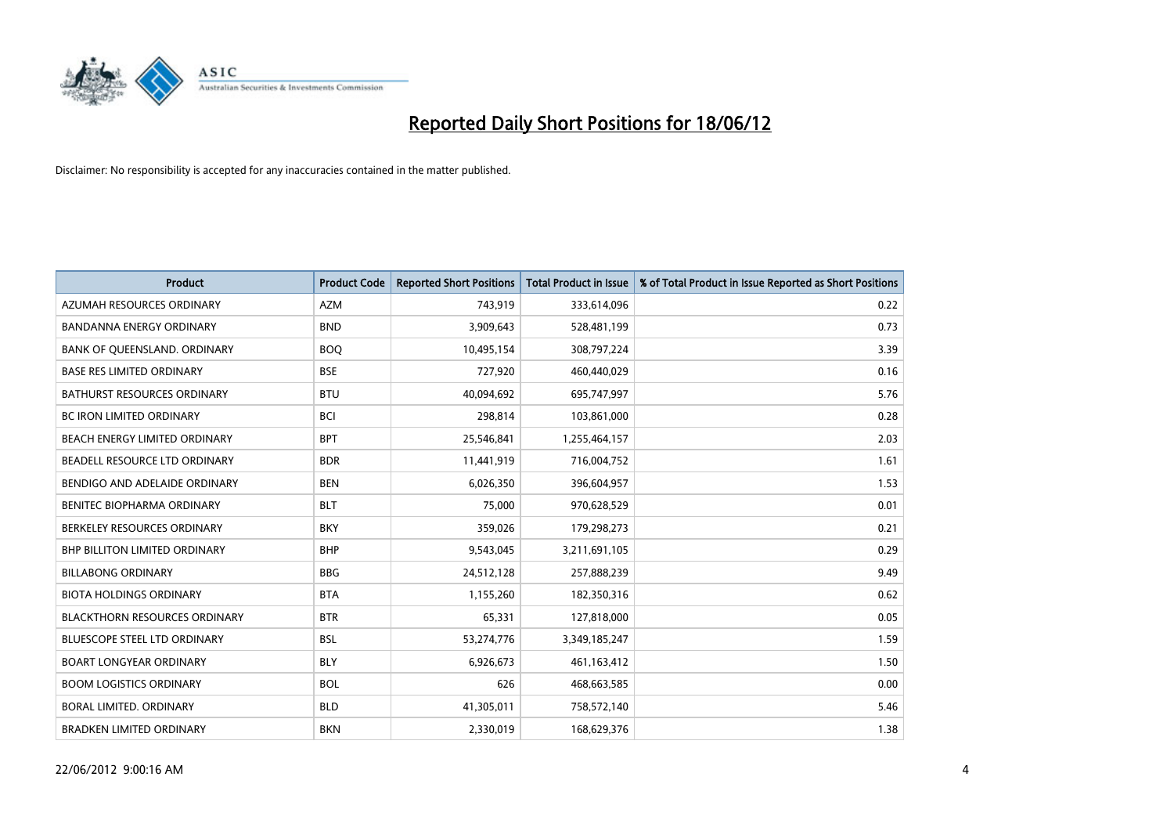

| <b>Product</b>                       | <b>Product Code</b> | <b>Reported Short Positions</b> | <b>Total Product in Issue</b> | % of Total Product in Issue Reported as Short Positions |
|--------------------------------------|---------------------|---------------------------------|-------------------------------|---------------------------------------------------------|
| AZUMAH RESOURCES ORDINARY            | <b>AZM</b>          | 743,919                         | 333,614,096                   | 0.22                                                    |
| BANDANNA ENERGY ORDINARY             | <b>BND</b>          | 3,909,643                       | 528,481,199                   | 0.73                                                    |
| BANK OF QUEENSLAND. ORDINARY         | <b>BOQ</b>          | 10,495,154                      | 308,797,224                   | 3.39                                                    |
| <b>BASE RES LIMITED ORDINARY</b>     | <b>BSE</b>          | 727,920                         | 460,440,029                   | 0.16                                                    |
| <b>BATHURST RESOURCES ORDINARY</b>   | <b>BTU</b>          | 40,094,692                      | 695,747,997                   | 5.76                                                    |
| <b>BC IRON LIMITED ORDINARY</b>      | <b>BCI</b>          | 298,814                         | 103,861,000                   | 0.28                                                    |
| BEACH ENERGY LIMITED ORDINARY        | <b>BPT</b>          | 25,546,841                      | 1,255,464,157                 | 2.03                                                    |
| BEADELL RESOURCE LTD ORDINARY        | <b>BDR</b>          | 11,441,919                      | 716,004,752                   | 1.61                                                    |
| BENDIGO AND ADELAIDE ORDINARY        | <b>BEN</b>          | 6,026,350                       | 396,604,957                   | 1.53                                                    |
| <b>BENITEC BIOPHARMA ORDINARY</b>    | <b>BLT</b>          | 75,000                          | 970,628,529                   | 0.01                                                    |
| BERKELEY RESOURCES ORDINARY          | <b>BKY</b>          | 359,026                         | 179,298,273                   | 0.21                                                    |
| <b>BHP BILLITON LIMITED ORDINARY</b> | <b>BHP</b>          | 9,543,045                       | 3,211,691,105                 | 0.29                                                    |
| <b>BILLABONG ORDINARY</b>            | <b>BBG</b>          | 24,512,128                      | 257,888,239                   | 9.49                                                    |
| <b>BIOTA HOLDINGS ORDINARY</b>       | <b>BTA</b>          | 1,155,260                       | 182,350,316                   | 0.62                                                    |
| <b>BLACKTHORN RESOURCES ORDINARY</b> | <b>BTR</b>          | 65,331                          | 127,818,000                   | 0.05                                                    |
| <b>BLUESCOPE STEEL LTD ORDINARY</b>  | BSL                 | 53,274,776                      | 3,349,185,247                 | 1.59                                                    |
| <b>BOART LONGYEAR ORDINARY</b>       | <b>BLY</b>          | 6,926,673                       | 461,163,412                   | 1.50                                                    |
| <b>BOOM LOGISTICS ORDINARY</b>       | <b>BOL</b>          | 626                             | 468,663,585                   | 0.00                                                    |
| <b>BORAL LIMITED, ORDINARY</b>       | <b>BLD</b>          | 41,305,011                      | 758,572,140                   | 5.46                                                    |
| <b>BRADKEN LIMITED ORDINARY</b>      | <b>BKN</b>          | 2,330,019                       | 168,629,376                   | 1.38                                                    |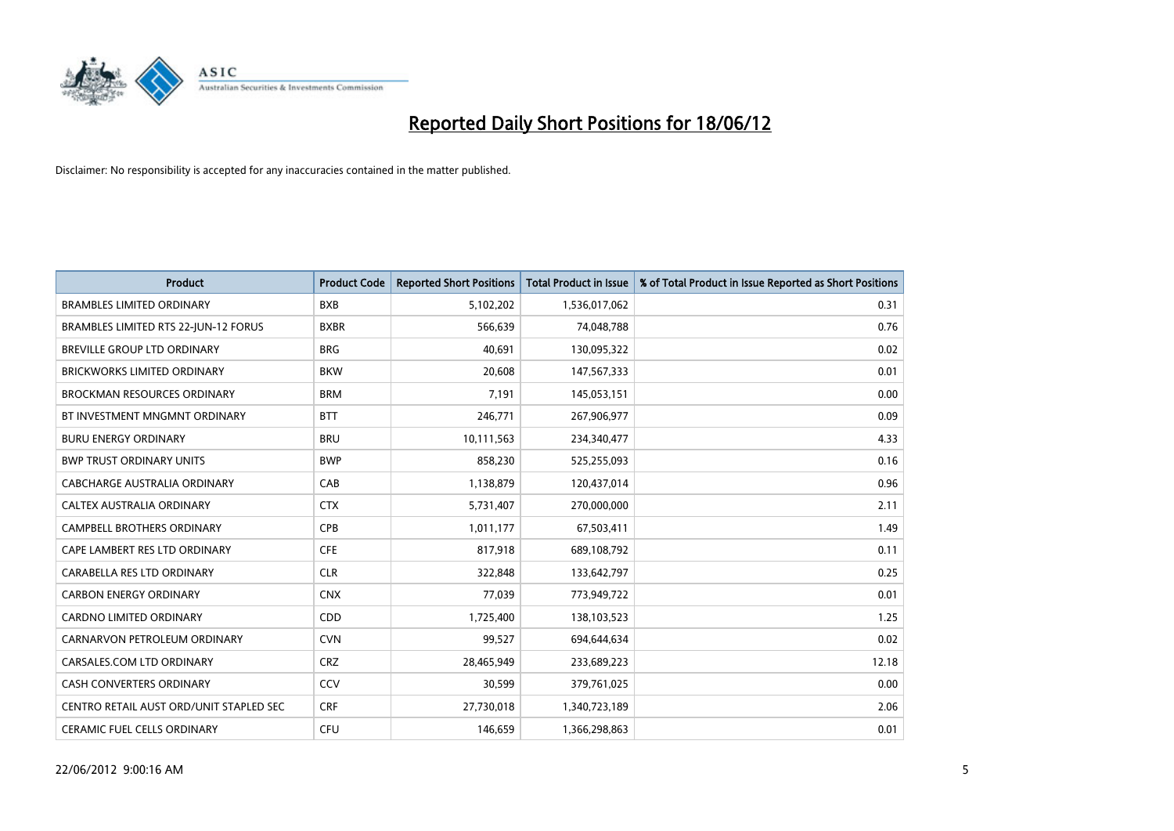

| <b>Product</b>                          | <b>Product Code</b> | <b>Reported Short Positions</b> | <b>Total Product in Issue</b> | % of Total Product in Issue Reported as Short Positions |
|-----------------------------------------|---------------------|---------------------------------|-------------------------------|---------------------------------------------------------|
| <b>BRAMBLES LIMITED ORDINARY</b>        | <b>BXB</b>          | 5,102,202                       | 1,536,017,062                 | 0.31                                                    |
| BRAMBLES LIMITED RTS 22-JUN-12 FORUS    | <b>BXBR</b>         | 566,639                         | 74,048,788                    | 0.76                                                    |
| BREVILLE GROUP LTD ORDINARY             | <b>BRG</b>          | 40.691                          | 130,095,322                   | 0.02                                                    |
| BRICKWORKS LIMITED ORDINARY             | <b>BKW</b>          | 20,608                          | 147,567,333                   | 0.01                                                    |
| <b>BROCKMAN RESOURCES ORDINARY</b>      | <b>BRM</b>          | 7,191                           | 145,053,151                   | 0.00                                                    |
| BT INVESTMENT MNGMNT ORDINARY           | <b>BTT</b>          | 246,771                         | 267,906,977                   | 0.09                                                    |
| <b>BURU ENERGY ORDINARY</b>             | <b>BRU</b>          | 10,111,563                      | 234,340,477                   | 4.33                                                    |
| <b>BWP TRUST ORDINARY UNITS</b>         | <b>BWP</b>          | 858,230                         | 525,255,093                   | 0.16                                                    |
| CABCHARGE AUSTRALIA ORDINARY            | CAB                 | 1,138,879                       | 120,437,014                   | 0.96                                                    |
| CALTEX AUSTRALIA ORDINARY               | <b>CTX</b>          | 5,731,407                       | 270,000,000                   | 2.11                                                    |
| CAMPBELL BROTHERS ORDINARY              | <b>CPB</b>          | 1,011,177                       | 67,503,411                    | 1.49                                                    |
| CAPE LAMBERT RES LTD ORDINARY           | <b>CFE</b>          | 817,918                         | 689,108,792                   | 0.11                                                    |
| CARABELLA RES LTD ORDINARY              | <b>CLR</b>          | 322,848                         | 133,642,797                   | 0.25                                                    |
| <b>CARBON ENERGY ORDINARY</b>           | <b>CNX</b>          | 77,039                          | 773,949,722                   | 0.01                                                    |
| <b>CARDNO LIMITED ORDINARY</b>          | CDD                 | 1,725,400                       | 138,103,523                   | 1.25                                                    |
| CARNARVON PETROLEUM ORDINARY            | <b>CVN</b>          | 99,527                          | 694,644,634                   | 0.02                                                    |
| CARSALES.COM LTD ORDINARY               | <b>CRZ</b>          | 28,465,949                      | 233,689,223                   | 12.18                                                   |
| CASH CONVERTERS ORDINARY                | CCV                 | 30,599                          | 379,761,025                   | 0.00                                                    |
| CENTRO RETAIL AUST ORD/UNIT STAPLED SEC | <b>CRF</b>          | 27,730,018                      | 1,340,723,189                 | 2.06                                                    |
| CERAMIC FUEL CELLS ORDINARY             | <b>CFU</b>          | 146,659                         | 1,366,298,863                 | 0.01                                                    |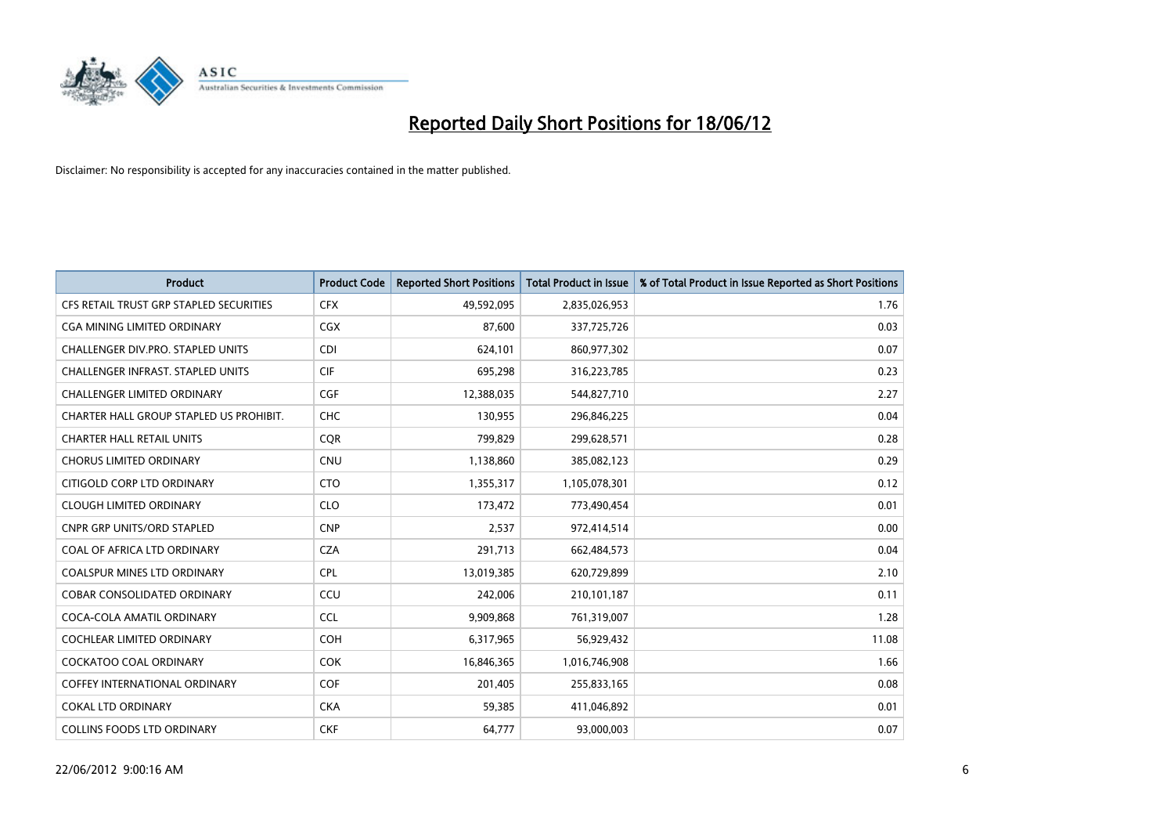

| <b>Product</b>                          | <b>Product Code</b> | <b>Reported Short Positions</b> | <b>Total Product in Issue</b> | % of Total Product in Issue Reported as Short Positions |
|-----------------------------------------|---------------------|---------------------------------|-------------------------------|---------------------------------------------------------|
| CFS RETAIL TRUST GRP STAPLED SECURITIES | <b>CFX</b>          | 49,592,095                      | 2,835,026,953                 | 1.76                                                    |
| CGA MINING LIMITED ORDINARY             | <b>CGX</b>          | 87,600                          | 337,725,726                   | 0.03                                                    |
| CHALLENGER DIV.PRO. STAPLED UNITS       | <b>CDI</b>          | 624,101                         | 860,977,302                   | 0.07                                                    |
| CHALLENGER INFRAST. STAPLED UNITS       | <b>CIF</b>          | 695,298                         | 316,223,785                   | 0.23                                                    |
| <b>CHALLENGER LIMITED ORDINARY</b>      | <b>CGF</b>          | 12,388,035                      | 544,827,710                   | 2.27                                                    |
| CHARTER HALL GROUP STAPLED US PROHIBIT. | <b>CHC</b>          | 130,955                         | 296,846,225                   | 0.04                                                    |
| <b>CHARTER HALL RETAIL UNITS</b>        | <b>COR</b>          | 799,829                         | 299,628,571                   | 0.28                                                    |
| <b>CHORUS LIMITED ORDINARY</b>          | <b>CNU</b>          | 1,138,860                       | 385,082,123                   | 0.29                                                    |
| CITIGOLD CORP LTD ORDINARY              | <b>CTO</b>          | 1,355,317                       | 1,105,078,301                 | 0.12                                                    |
| <b>CLOUGH LIMITED ORDINARY</b>          | <b>CLO</b>          | 173,472                         | 773,490,454                   | 0.01                                                    |
| CNPR GRP UNITS/ORD STAPLED              | <b>CNP</b>          | 2,537                           | 972,414,514                   | 0.00                                                    |
| COAL OF AFRICA LTD ORDINARY             | <b>CZA</b>          | 291,713                         | 662,484,573                   | 0.04                                                    |
| COALSPUR MINES LTD ORDINARY             | <b>CPL</b>          | 13,019,385                      | 620,729,899                   | 2.10                                                    |
| <b>COBAR CONSOLIDATED ORDINARY</b>      | CCU                 | 242,006                         | 210,101,187                   | 0.11                                                    |
| COCA-COLA AMATIL ORDINARY               | <b>CCL</b>          | 9,909,868                       | 761,319,007                   | 1.28                                                    |
| COCHLEAR LIMITED ORDINARY               | <b>COH</b>          | 6,317,965                       | 56,929,432                    | 11.08                                                   |
| <b>COCKATOO COAL ORDINARY</b>           | <b>COK</b>          | 16,846,365                      | 1,016,746,908                 | 1.66                                                    |
| <b>COFFEY INTERNATIONAL ORDINARY</b>    | <b>COF</b>          | 201,405                         | 255,833,165                   | 0.08                                                    |
| <b>COKAL LTD ORDINARY</b>               | <b>CKA</b>          | 59,385                          | 411,046,892                   | 0.01                                                    |
| <b>COLLINS FOODS LTD ORDINARY</b>       | <b>CKF</b>          | 64,777                          | 93,000,003                    | 0.07                                                    |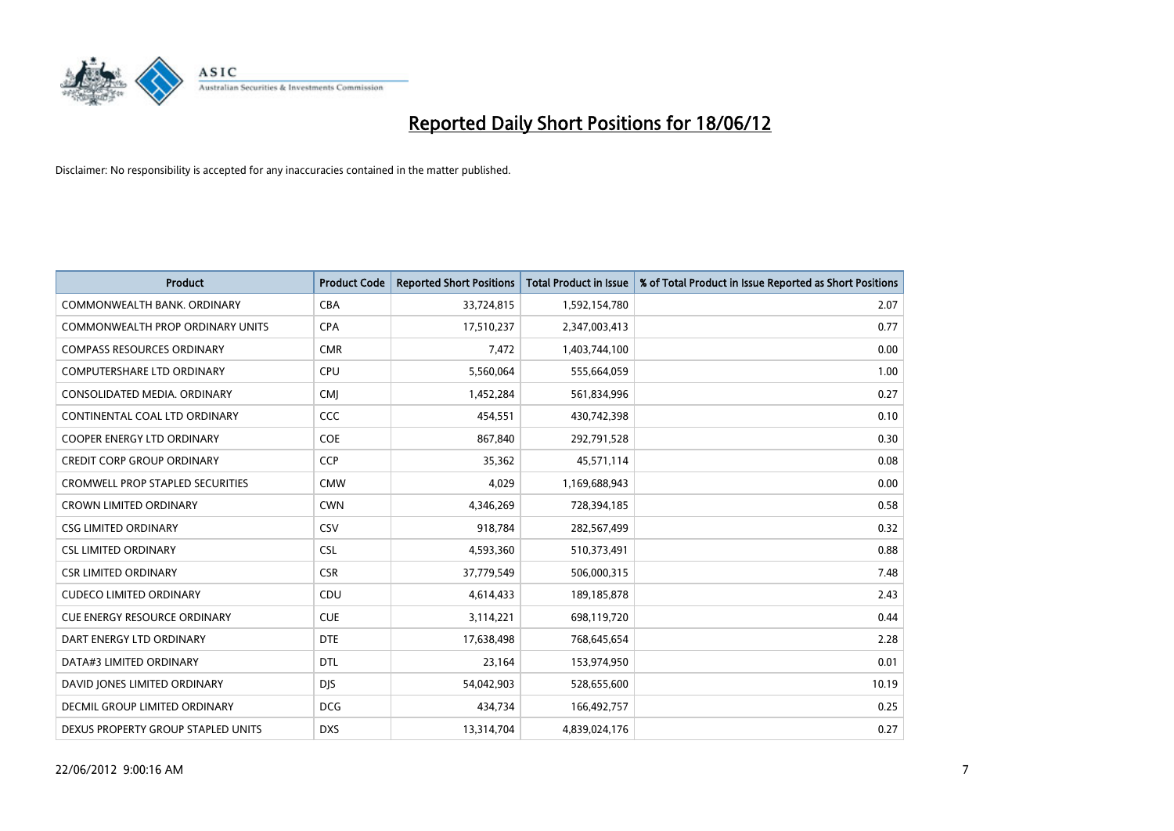

| <b>Product</b>                          | <b>Product Code</b> | <b>Reported Short Positions</b> | <b>Total Product in Issue</b> | % of Total Product in Issue Reported as Short Positions |
|-----------------------------------------|---------------------|---------------------------------|-------------------------------|---------------------------------------------------------|
| COMMONWEALTH BANK, ORDINARY             | <b>CBA</b>          | 33,724,815                      | 1,592,154,780                 | 2.07                                                    |
| COMMONWEALTH PROP ORDINARY UNITS        | <b>CPA</b>          | 17,510,237                      | 2,347,003,413                 | 0.77                                                    |
| <b>COMPASS RESOURCES ORDINARY</b>       | <b>CMR</b>          | 7,472                           | 1,403,744,100                 | 0.00                                                    |
| <b>COMPUTERSHARE LTD ORDINARY</b>       | <b>CPU</b>          | 5,560,064                       | 555,664,059                   | 1.00                                                    |
| CONSOLIDATED MEDIA, ORDINARY            | <b>CMI</b>          | 1,452,284                       | 561,834,996                   | 0.27                                                    |
| CONTINENTAL COAL LTD ORDINARY           | CCC                 | 454,551                         | 430,742,398                   | 0.10                                                    |
| <b>COOPER ENERGY LTD ORDINARY</b>       | <b>COE</b>          | 867,840                         | 292,791,528                   | 0.30                                                    |
| <b>CREDIT CORP GROUP ORDINARY</b>       | <b>CCP</b>          | 35,362                          | 45,571,114                    | 0.08                                                    |
| <b>CROMWELL PROP STAPLED SECURITIES</b> | <b>CMW</b>          | 4,029                           | 1,169,688,943                 | 0.00                                                    |
| <b>CROWN LIMITED ORDINARY</b>           | <b>CWN</b>          | 4,346,269                       | 728,394,185                   | 0.58                                                    |
| <b>CSG LIMITED ORDINARY</b>             | CSV                 | 918,784                         | 282,567,499                   | 0.32                                                    |
| <b>CSL LIMITED ORDINARY</b>             | <b>CSL</b>          | 4,593,360                       | 510,373,491                   | 0.88                                                    |
| <b>CSR LIMITED ORDINARY</b>             | <b>CSR</b>          | 37,779,549                      | 506,000,315                   | 7.48                                                    |
| <b>CUDECO LIMITED ORDINARY</b>          | CDU                 | 4,614,433                       | 189, 185, 878                 | 2.43                                                    |
| <b>CUE ENERGY RESOURCE ORDINARY</b>     | <b>CUE</b>          | 3,114,221                       | 698,119,720                   | 0.44                                                    |
| DART ENERGY LTD ORDINARY                | <b>DTE</b>          | 17,638,498                      | 768,645,654                   | 2.28                                                    |
| DATA#3 LIMITED ORDINARY                 | DTL                 | 23,164                          | 153,974,950                   | 0.01                                                    |
| DAVID JONES LIMITED ORDINARY            | <b>DJS</b>          | 54,042,903                      | 528,655,600                   | 10.19                                                   |
| <b>DECMIL GROUP LIMITED ORDINARY</b>    | <b>DCG</b>          | 434,734                         | 166,492,757                   | 0.25                                                    |
| DEXUS PROPERTY GROUP STAPLED UNITS      | <b>DXS</b>          | 13,314,704                      | 4,839,024,176                 | 0.27                                                    |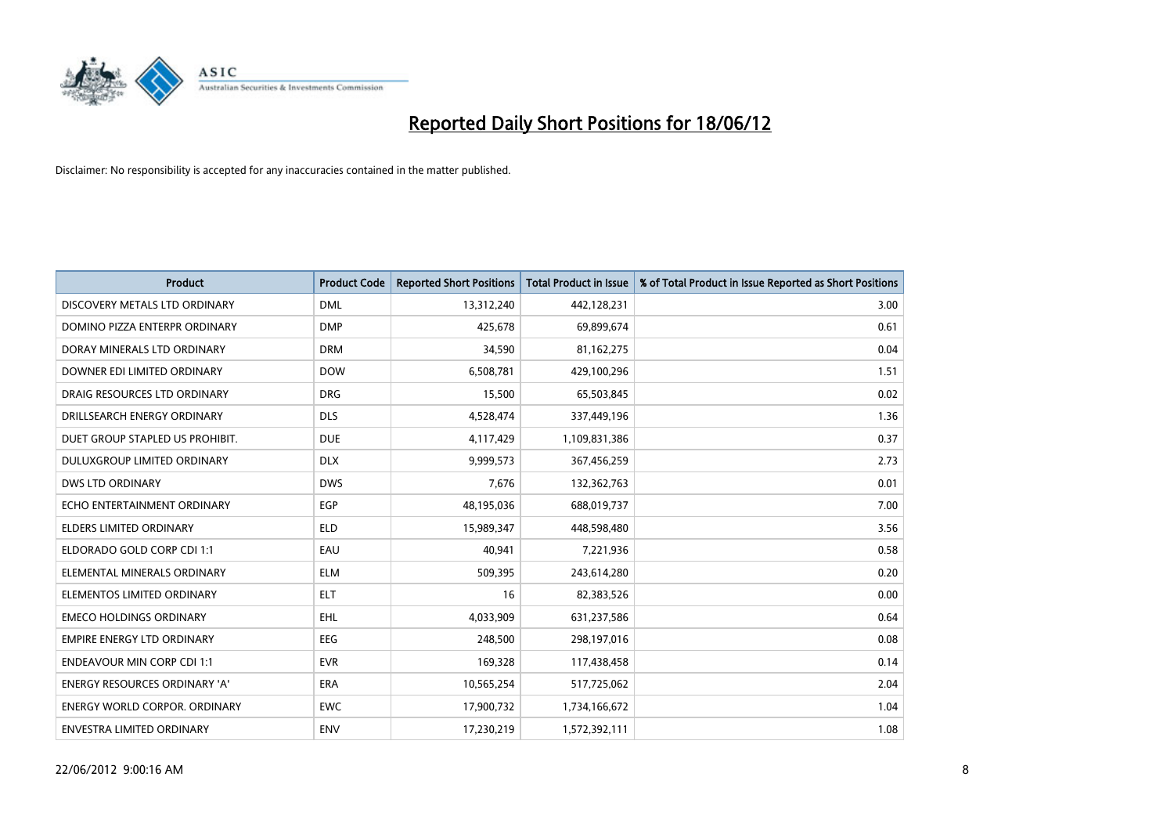

| <b>Product</b>                       | <b>Product Code</b> | <b>Reported Short Positions</b> | <b>Total Product in Issue</b> | % of Total Product in Issue Reported as Short Positions |
|--------------------------------------|---------------------|---------------------------------|-------------------------------|---------------------------------------------------------|
| DISCOVERY METALS LTD ORDINARY        | <b>DML</b>          | 13,312,240                      | 442,128,231                   | 3.00                                                    |
| DOMINO PIZZA ENTERPR ORDINARY        | <b>DMP</b>          | 425,678                         | 69,899,674                    | 0.61                                                    |
| DORAY MINERALS LTD ORDINARY          | <b>DRM</b>          | 34,590                          | 81,162,275                    | 0.04                                                    |
| DOWNER EDI LIMITED ORDINARY          | <b>DOW</b>          | 6,508,781                       | 429,100,296                   | 1.51                                                    |
| DRAIG RESOURCES LTD ORDINARY         | <b>DRG</b>          | 15,500                          | 65,503,845                    | 0.02                                                    |
| DRILLSEARCH ENERGY ORDINARY          | <b>DLS</b>          | 4,528,474                       | 337,449,196                   | 1.36                                                    |
| DUET GROUP STAPLED US PROHIBIT.      | <b>DUE</b>          | 4,117,429                       | 1,109,831,386                 | 0.37                                                    |
| DULUXGROUP LIMITED ORDINARY          | <b>DLX</b>          | 9,999,573                       | 367,456,259                   | 2.73                                                    |
| <b>DWS LTD ORDINARY</b>              | <b>DWS</b>          | 7,676                           | 132,362,763                   | 0.01                                                    |
| ECHO ENTERTAINMENT ORDINARY          | <b>EGP</b>          | 48,195,036                      | 688,019,737                   | 7.00                                                    |
| ELDERS LIMITED ORDINARY              | <b>ELD</b>          | 15,989,347                      | 448,598,480                   | 3.56                                                    |
| ELDORADO GOLD CORP CDI 1:1           | EAU                 | 40,941                          | 7,221,936                     | 0.58                                                    |
| ELEMENTAL MINERALS ORDINARY          | <b>ELM</b>          | 509,395                         | 243,614,280                   | 0.20                                                    |
| ELEMENTOS LIMITED ORDINARY           | <b>ELT</b>          | 16                              | 82,383,526                    | 0.00                                                    |
| <b>EMECO HOLDINGS ORDINARY</b>       | <b>EHL</b>          | 4,033,909                       | 631,237,586                   | 0.64                                                    |
| <b>EMPIRE ENERGY LTD ORDINARY</b>    | EEG                 | 248,500                         | 298,197,016                   | 0.08                                                    |
| <b>ENDEAVOUR MIN CORP CDI 1:1</b>    | <b>EVR</b>          | 169,328                         | 117,438,458                   | 0.14                                                    |
| ENERGY RESOURCES ORDINARY 'A'        | <b>ERA</b>          | 10,565,254                      | 517,725,062                   | 2.04                                                    |
| <b>ENERGY WORLD CORPOR, ORDINARY</b> | <b>EWC</b>          | 17,900,732                      | 1,734,166,672                 | 1.04                                                    |
| ENVESTRA LIMITED ORDINARY            | <b>ENV</b>          | 17,230,219                      | 1,572,392,111                 | 1.08                                                    |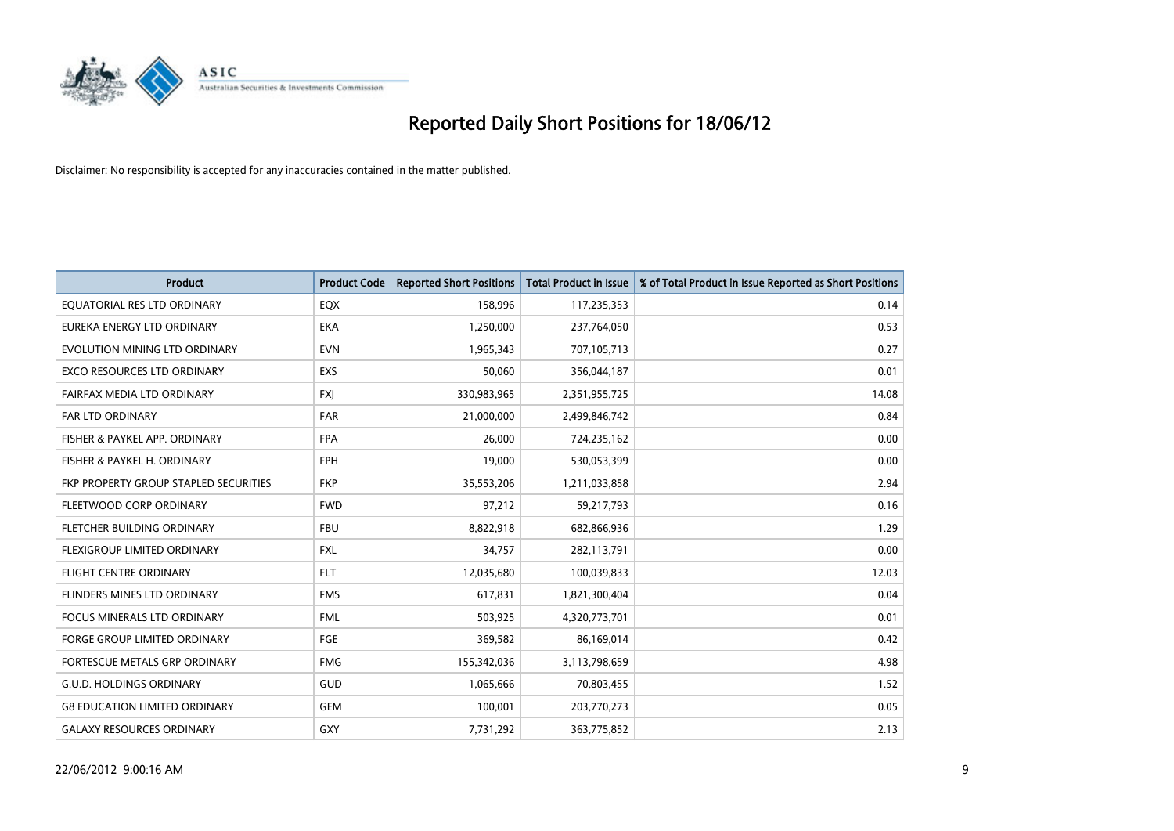

| <b>Product</b>                        | <b>Product Code</b> | <b>Reported Short Positions</b> | <b>Total Product in Issue</b> | % of Total Product in Issue Reported as Short Positions |
|---------------------------------------|---------------------|---------------------------------|-------------------------------|---------------------------------------------------------|
| EQUATORIAL RES LTD ORDINARY           | EQX                 | 158,996                         | 117,235,353                   | 0.14                                                    |
| EUREKA ENERGY LTD ORDINARY            | <b>EKA</b>          | 1,250,000                       | 237,764,050                   | 0.53                                                    |
| EVOLUTION MINING LTD ORDINARY         | <b>EVN</b>          | 1,965,343                       | 707,105,713                   | 0.27                                                    |
| <b>EXCO RESOURCES LTD ORDINARY</b>    | <b>EXS</b>          | 50,060                          | 356,044,187                   | 0.01                                                    |
| FAIRFAX MEDIA LTD ORDINARY            | <b>FXI</b>          | 330,983,965                     | 2,351,955,725                 | 14.08                                                   |
| FAR LTD ORDINARY                      | <b>FAR</b>          | 21,000,000                      | 2,499,846,742                 | 0.84                                                    |
| FISHER & PAYKEL APP. ORDINARY         | <b>FPA</b>          | 26,000                          | 724,235,162                   | 0.00                                                    |
| FISHER & PAYKEL H. ORDINARY           | <b>FPH</b>          | 19,000                          | 530,053,399                   | 0.00                                                    |
| FKP PROPERTY GROUP STAPLED SECURITIES | <b>FKP</b>          | 35,553,206                      | 1,211,033,858                 | 2.94                                                    |
| FLEETWOOD CORP ORDINARY               | <b>FWD</b>          | 97,212                          | 59,217,793                    | 0.16                                                    |
| FLETCHER BUILDING ORDINARY            | <b>FBU</b>          | 8,822,918                       | 682,866,936                   | 1.29                                                    |
| FLEXIGROUP LIMITED ORDINARY           | FXL                 | 34,757                          | 282,113,791                   | 0.00                                                    |
| <b>FLIGHT CENTRE ORDINARY</b>         | <b>FLT</b>          | 12,035,680                      | 100,039,833                   | 12.03                                                   |
| FLINDERS MINES LTD ORDINARY           | <b>FMS</b>          | 617,831                         | 1,821,300,404                 | 0.04                                                    |
| <b>FOCUS MINERALS LTD ORDINARY</b>    | <b>FML</b>          | 503,925                         | 4,320,773,701                 | 0.01                                                    |
| <b>FORGE GROUP LIMITED ORDINARY</b>   | FGE                 | 369,582                         | 86,169,014                    | 0.42                                                    |
| FORTESCUE METALS GRP ORDINARY         | <b>FMG</b>          | 155,342,036                     | 3,113,798,659                 | 4.98                                                    |
| <b>G.U.D. HOLDINGS ORDINARY</b>       | GUD                 | 1,065,666                       | 70,803,455                    | 1.52                                                    |
| <b>G8 EDUCATION LIMITED ORDINARY</b>  | <b>GEM</b>          | 100,001                         | 203,770,273                   | 0.05                                                    |
| <b>GALAXY RESOURCES ORDINARY</b>      | GXY                 | 7,731,292                       | 363,775,852                   | 2.13                                                    |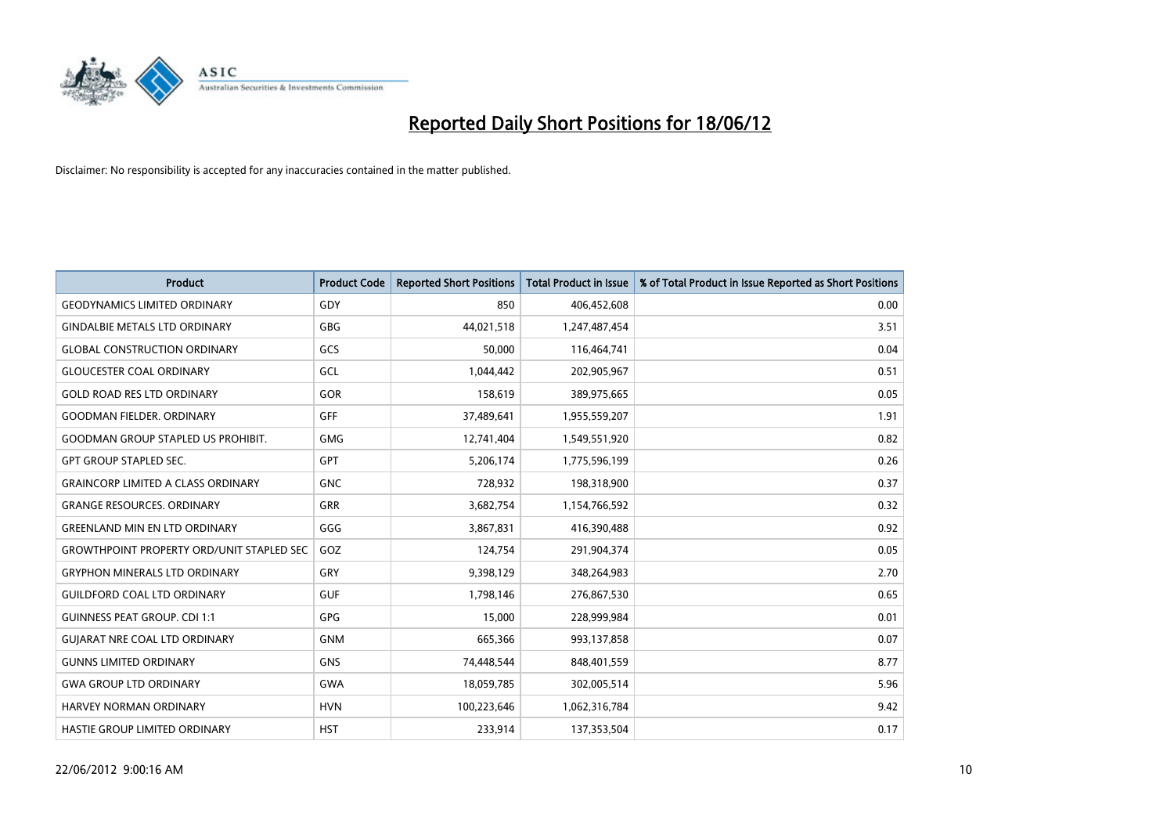

| Product                                          | <b>Product Code</b> | <b>Reported Short Positions</b> | <b>Total Product in Issue</b> | % of Total Product in Issue Reported as Short Positions |
|--------------------------------------------------|---------------------|---------------------------------|-------------------------------|---------------------------------------------------------|
| <b>GEODYNAMICS LIMITED ORDINARY</b>              | GDY                 | 850                             | 406,452,608                   | 0.00                                                    |
| <b>GINDALBIE METALS LTD ORDINARY</b>             | <b>GBG</b>          | 44,021,518                      | 1,247,487,454                 | 3.51                                                    |
| <b>GLOBAL CONSTRUCTION ORDINARY</b>              | GCS                 | 50,000                          | 116,464,741                   | 0.04                                                    |
| <b>GLOUCESTER COAL ORDINARY</b>                  | GCL                 | 1,044,442                       | 202,905,967                   | 0.51                                                    |
| <b>GOLD ROAD RES LTD ORDINARY</b>                | GOR                 | 158,619                         | 389,975,665                   | 0.05                                                    |
| <b>GOODMAN FIELDER, ORDINARY</b>                 | GFF                 | 37,489,641                      | 1,955,559,207                 | 1.91                                                    |
| <b>GOODMAN GROUP STAPLED US PROHIBIT.</b>        | <b>GMG</b>          | 12,741,404                      | 1,549,551,920                 | 0.82                                                    |
| <b>GPT GROUP STAPLED SEC.</b>                    | <b>GPT</b>          | 5,206,174                       | 1,775,596,199                 | 0.26                                                    |
| <b>GRAINCORP LIMITED A CLASS ORDINARY</b>        | <b>GNC</b>          | 728,932                         | 198,318,900                   | 0.37                                                    |
| <b>GRANGE RESOURCES, ORDINARY</b>                | GRR                 | 3,682,754                       | 1,154,766,592                 | 0.32                                                    |
| <b>GREENLAND MIN EN LTD ORDINARY</b>             | GGG                 | 3,867,831                       | 416,390,488                   | 0.92                                                    |
| <b>GROWTHPOINT PROPERTY ORD/UNIT STAPLED SEC</b> | GOZ                 | 124,754                         | 291,904,374                   | 0.05                                                    |
| <b>GRYPHON MINERALS LTD ORDINARY</b>             | GRY                 | 9,398,129                       | 348,264,983                   | 2.70                                                    |
| <b>GUILDFORD COAL LTD ORDINARY</b>               | <b>GUF</b>          | 1,798,146                       | 276,867,530                   | 0.65                                                    |
| <b>GUINNESS PEAT GROUP. CDI 1:1</b>              | GPG                 | 15,000                          | 228,999,984                   | 0.01                                                    |
| <b>GUJARAT NRE COAL LTD ORDINARY</b>             | <b>GNM</b>          | 665,366                         | 993,137,858                   | 0.07                                                    |
| <b>GUNNS LIMITED ORDINARY</b>                    | <b>GNS</b>          | 74,448,544                      | 848,401,559                   | 8.77                                                    |
| <b>GWA GROUP LTD ORDINARY</b>                    | <b>GWA</b>          | 18,059,785                      | 302,005,514                   | 5.96                                                    |
| <b>HARVEY NORMAN ORDINARY</b>                    | <b>HVN</b>          | 100,223,646                     | 1,062,316,784                 | 9.42                                                    |
| HASTIE GROUP LIMITED ORDINARY                    | <b>HST</b>          | 233,914                         | 137,353,504                   | 0.17                                                    |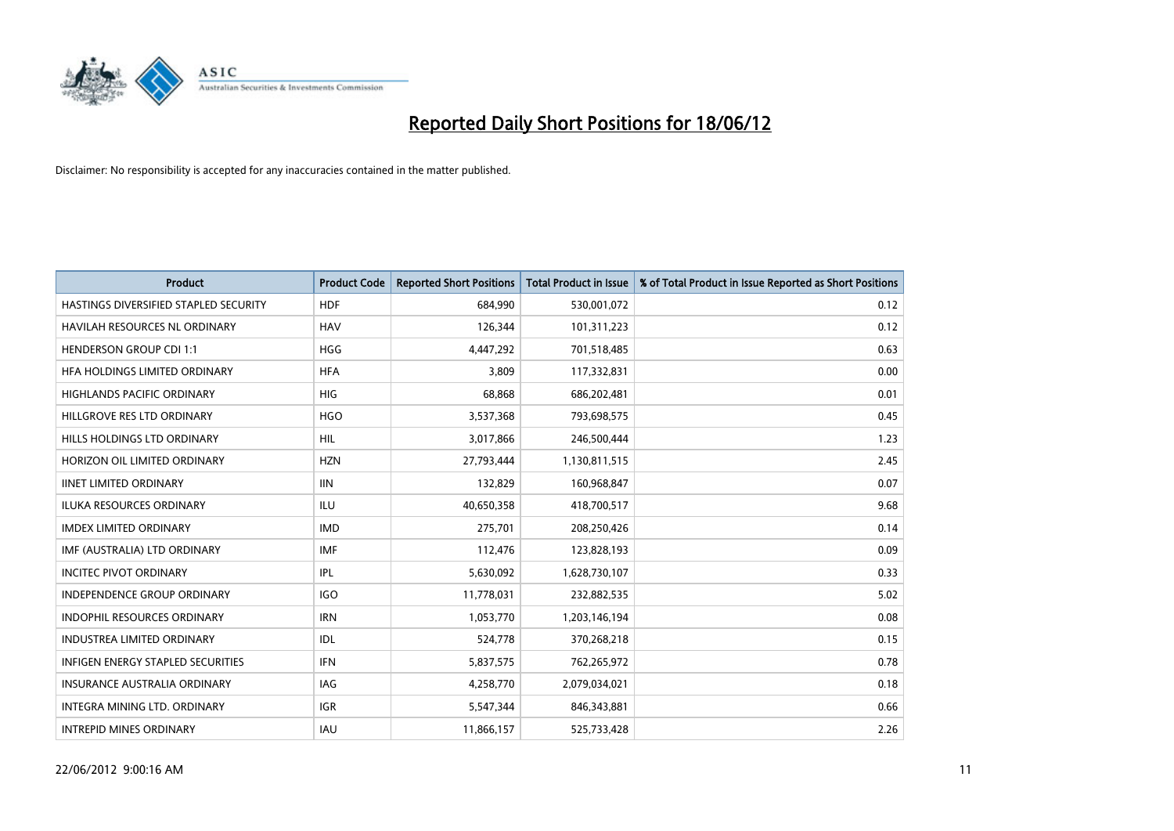

| <b>Product</b>                           | <b>Product Code</b> | <b>Reported Short Positions</b> | <b>Total Product in Issue</b> | % of Total Product in Issue Reported as Short Positions |
|------------------------------------------|---------------------|---------------------------------|-------------------------------|---------------------------------------------------------|
| HASTINGS DIVERSIFIED STAPLED SECURITY    | <b>HDF</b>          | 684.990                         | 530,001,072                   | 0.12                                                    |
| <b>HAVILAH RESOURCES NL ORDINARY</b>     | <b>HAV</b>          | 126,344                         | 101,311,223                   | 0.12                                                    |
| <b>HENDERSON GROUP CDI 1:1</b>           | <b>HGG</b>          | 4,447,292                       | 701,518,485                   | 0.63                                                    |
| HFA HOLDINGS LIMITED ORDINARY            | <b>HFA</b>          | 3,809                           | 117,332,831                   | 0.00                                                    |
| <b>HIGHLANDS PACIFIC ORDINARY</b>        | <b>HIG</b>          | 68,868                          | 686,202,481                   | 0.01                                                    |
| HILLGROVE RES LTD ORDINARY               | <b>HGO</b>          | 3,537,368                       | 793,698,575                   | 0.45                                                    |
| HILLS HOLDINGS LTD ORDINARY              | HIL                 | 3,017,866                       | 246,500,444                   | 1.23                                                    |
| HORIZON OIL LIMITED ORDINARY             | <b>HZN</b>          | 27,793,444                      | 1,130,811,515                 | 2.45                                                    |
| <b>IINET LIMITED ORDINARY</b>            | <b>IIN</b>          | 132,829                         | 160,968,847                   | 0.07                                                    |
| <b>ILUKA RESOURCES ORDINARY</b>          | <b>ILU</b>          | 40,650,358                      | 418,700,517                   | 9.68                                                    |
| <b>IMDEX LIMITED ORDINARY</b>            | <b>IMD</b>          | 275,701                         | 208,250,426                   | 0.14                                                    |
| IMF (AUSTRALIA) LTD ORDINARY             | <b>IMF</b>          | 112,476                         | 123,828,193                   | 0.09                                                    |
| <b>INCITEC PIVOT ORDINARY</b>            | IPL                 | 5,630,092                       | 1,628,730,107                 | 0.33                                                    |
| <b>INDEPENDENCE GROUP ORDINARY</b>       | <b>IGO</b>          | 11,778,031                      | 232,882,535                   | 5.02                                                    |
| <b>INDOPHIL RESOURCES ORDINARY</b>       | <b>IRN</b>          | 1,053,770                       | 1,203,146,194                 | 0.08                                                    |
| <b>INDUSTREA LIMITED ORDINARY</b>        | IDL                 | 524,778                         | 370,268,218                   | 0.15                                                    |
| <b>INFIGEN ENERGY STAPLED SECURITIES</b> | IFN                 | 5,837,575                       | 762,265,972                   | 0.78                                                    |
| <b>INSURANCE AUSTRALIA ORDINARY</b>      | IAG                 | 4,258,770                       | 2,079,034,021                 | 0.18                                                    |
| INTEGRA MINING LTD, ORDINARY             | <b>IGR</b>          | 5,547,344                       | 846,343,881                   | 0.66                                                    |
| <b>INTREPID MINES ORDINARY</b>           | IAU                 | 11,866,157                      | 525,733,428                   | 2.26                                                    |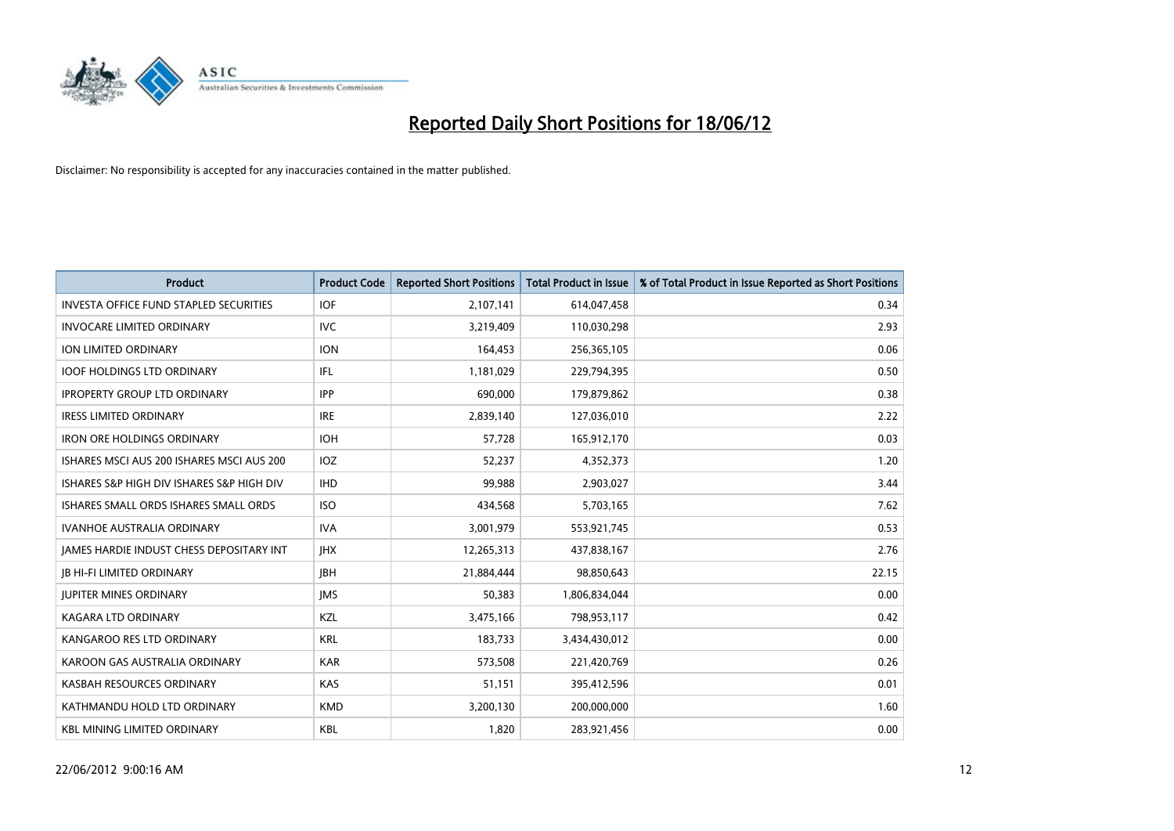

| <b>Product</b>                                | <b>Product Code</b> | <b>Reported Short Positions</b> | <b>Total Product in Issue</b> | % of Total Product in Issue Reported as Short Positions |
|-----------------------------------------------|---------------------|---------------------------------|-------------------------------|---------------------------------------------------------|
| <b>INVESTA OFFICE FUND STAPLED SECURITIES</b> | <b>IOF</b>          | 2,107,141                       | 614,047,458                   | 0.34                                                    |
| <b>INVOCARE LIMITED ORDINARY</b>              | IVC.                | 3,219,409                       | 110,030,298                   | 2.93                                                    |
| ION LIMITED ORDINARY                          | <b>ION</b>          | 164,453                         | 256,365,105                   | 0.06                                                    |
| <b>IOOF HOLDINGS LTD ORDINARY</b>             | IFL.                | 1,181,029                       | 229,794,395                   | 0.50                                                    |
| <b>IPROPERTY GROUP LTD ORDINARY</b>           | <b>IPP</b>          | 690,000                         | 179,879,862                   | 0.38                                                    |
| <b>IRESS LIMITED ORDINARY</b>                 | <b>IRE</b>          | 2,839,140                       | 127,036,010                   | 2.22                                                    |
| <b>IRON ORE HOLDINGS ORDINARY</b>             | <b>IOH</b>          | 57,728                          | 165,912,170                   | 0.03                                                    |
| ISHARES MSCI AUS 200 ISHARES MSCI AUS 200     | <b>IOZ</b>          | 52,237                          | 4,352,373                     | 1.20                                                    |
| ISHARES S&P HIGH DIV ISHARES S&P HIGH DIV     | <b>IHD</b>          | 99,988                          | 2,903,027                     | 3.44                                                    |
| ISHARES SMALL ORDS ISHARES SMALL ORDS         | <b>ISO</b>          | 434,568                         | 5,703,165                     | 7.62                                                    |
| <b>IVANHOE AUSTRALIA ORDINARY</b>             | <b>IVA</b>          | 3,001,979                       | 553,921,745                   | 0.53                                                    |
| JAMES HARDIE INDUST CHESS DEPOSITARY INT      | <b>IHX</b>          | 12,265,313                      | 437,838,167                   | 2.76                                                    |
| <b>JB HI-FI LIMITED ORDINARY</b>              | <b>IBH</b>          | 21,884,444                      | 98,850,643                    | 22.15                                                   |
| <b>JUPITER MINES ORDINARY</b>                 | <b>IMS</b>          | 50,383                          | 1,806,834,044                 | 0.00                                                    |
| <b>KAGARA LTD ORDINARY</b>                    | KZL                 | 3,475,166                       | 798,953,117                   | 0.42                                                    |
| KANGAROO RES LTD ORDINARY                     | <b>KRL</b>          | 183,733                         | 3,434,430,012                 | 0.00                                                    |
| KAROON GAS AUSTRALIA ORDINARY                 | <b>KAR</b>          | 573,508                         | 221,420,769                   | 0.26                                                    |
| KASBAH RESOURCES ORDINARY                     | <b>KAS</b>          | 51,151                          | 395,412,596                   | 0.01                                                    |
| KATHMANDU HOLD LTD ORDINARY                   | <b>KMD</b>          | 3,200,130                       | 200,000,000                   | 1.60                                                    |
| <b>KBL MINING LIMITED ORDINARY</b>            | <b>KBL</b>          | 1,820                           | 283,921,456                   | 0.00                                                    |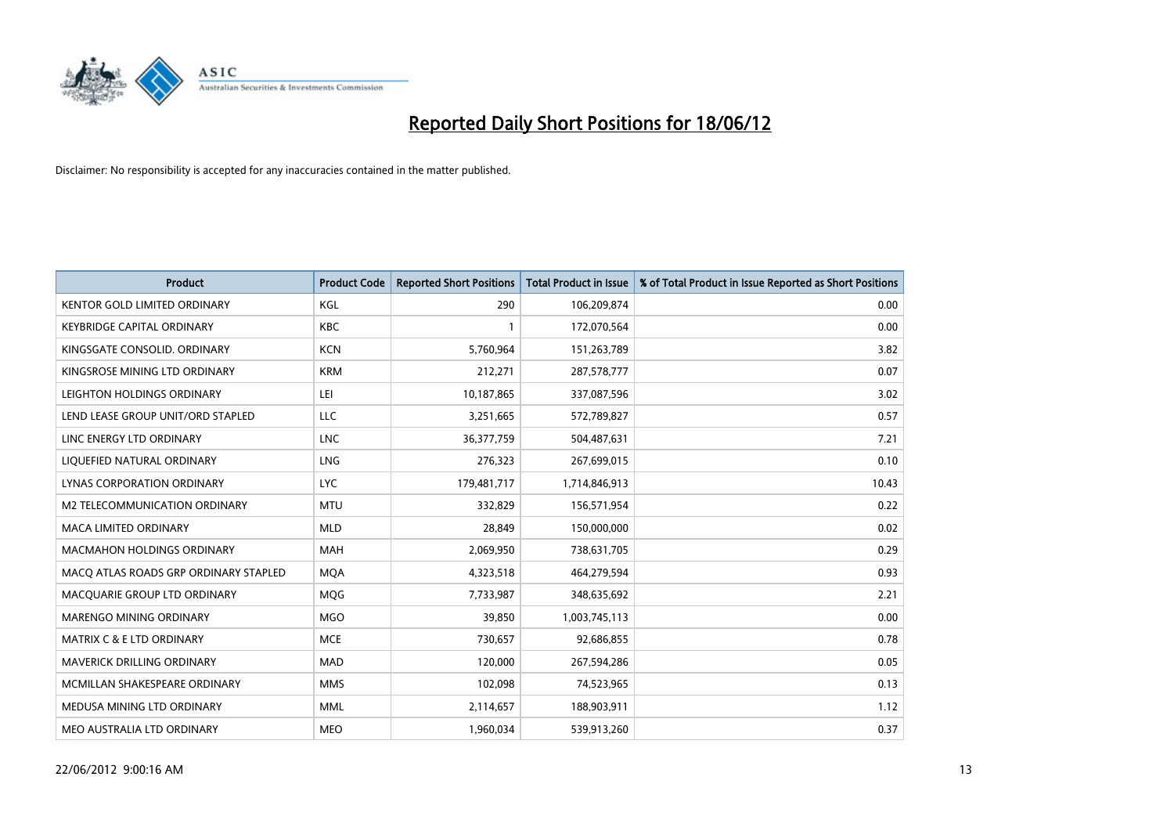

| <b>Product</b>                        | <b>Product Code</b> | <b>Reported Short Positions</b> | <b>Total Product in Issue</b> | % of Total Product in Issue Reported as Short Positions |
|---------------------------------------|---------------------|---------------------------------|-------------------------------|---------------------------------------------------------|
| <b>KENTOR GOLD LIMITED ORDINARY</b>   | <b>KGL</b>          | 290                             | 106,209,874                   | 0.00                                                    |
| <b>KEYBRIDGE CAPITAL ORDINARY</b>     | <b>KBC</b>          |                                 | 172,070,564                   | 0.00                                                    |
| KINGSGATE CONSOLID, ORDINARY          | <b>KCN</b>          | 5,760,964                       | 151,263,789                   | 3.82                                                    |
| KINGSROSE MINING LTD ORDINARY         | <b>KRM</b>          | 212,271                         | 287,578,777                   | 0.07                                                    |
| LEIGHTON HOLDINGS ORDINARY            | LEI                 | 10,187,865                      | 337,087,596                   | 3.02                                                    |
| LEND LEASE GROUP UNIT/ORD STAPLED     | <b>LLC</b>          | 3,251,665                       | 572,789,827                   | 0.57                                                    |
| LINC ENERGY LTD ORDINARY              | <b>LNC</b>          | 36, 377, 759                    | 504,487,631                   | 7.21                                                    |
| LIQUEFIED NATURAL ORDINARY            | <b>LNG</b>          | 276,323                         | 267,699,015                   | 0.10                                                    |
| LYNAS CORPORATION ORDINARY            | <b>LYC</b>          | 179,481,717                     | 1,714,846,913                 | 10.43                                                   |
| <b>M2 TELECOMMUNICATION ORDINARY</b>  | <b>MTU</b>          | 332,829                         | 156,571,954                   | 0.22                                                    |
| <b>MACA LIMITED ORDINARY</b>          | <b>MLD</b>          | 28,849                          | 150,000,000                   | 0.02                                                    |
| MACMAHON HOLDINGS ORDINARY            | MAH                 | 2,069,950                       | 738,631,705                   | 0.29                                                    |
| MACO ATLAS ROADS GRP ORDINARY STAPLED | <b>MOA</b>          | 4,323,518                       | 464,279,594                   | 0.93                                                    |
| MACQUARIE GROUP LTD ORDINARY          | MQG                 | 7,733,987                       | 348,635,692                   | 2.21                                                    |
| MARENGO MINING ORDINARY               | <b>MGO</b>          | 39,850                          | 1,003,745,113                 | 0.00                                                    |
| <b>MATRIX C &amp; E LTD ORDINARY</b>  | <b>MCE</b>          | 730,657                         | 92,686,855                    | 0.78                                                    |
| MAVERICK DRILLING ORDINARY            | MAD                 | 120,000                         | 267,594,286                   | 0.05                                                    |
| MCMILLAN SHAKESPEARE ORDINARY         | <b>MMS</b>          | 102,098                         | 74,523,965                    | 0.13                                                    |
| MEDUSA MINING LTD ORDINARY            | <b>MML</b>          | 2,114,657                       | 188,903,911                   | 1.12                                                    |
| MEO AUSTRALIA LTD ORDINARY            | <b>MEO</b>          | 1,960,034                       | 539,913,260                   | 0.37                                                    |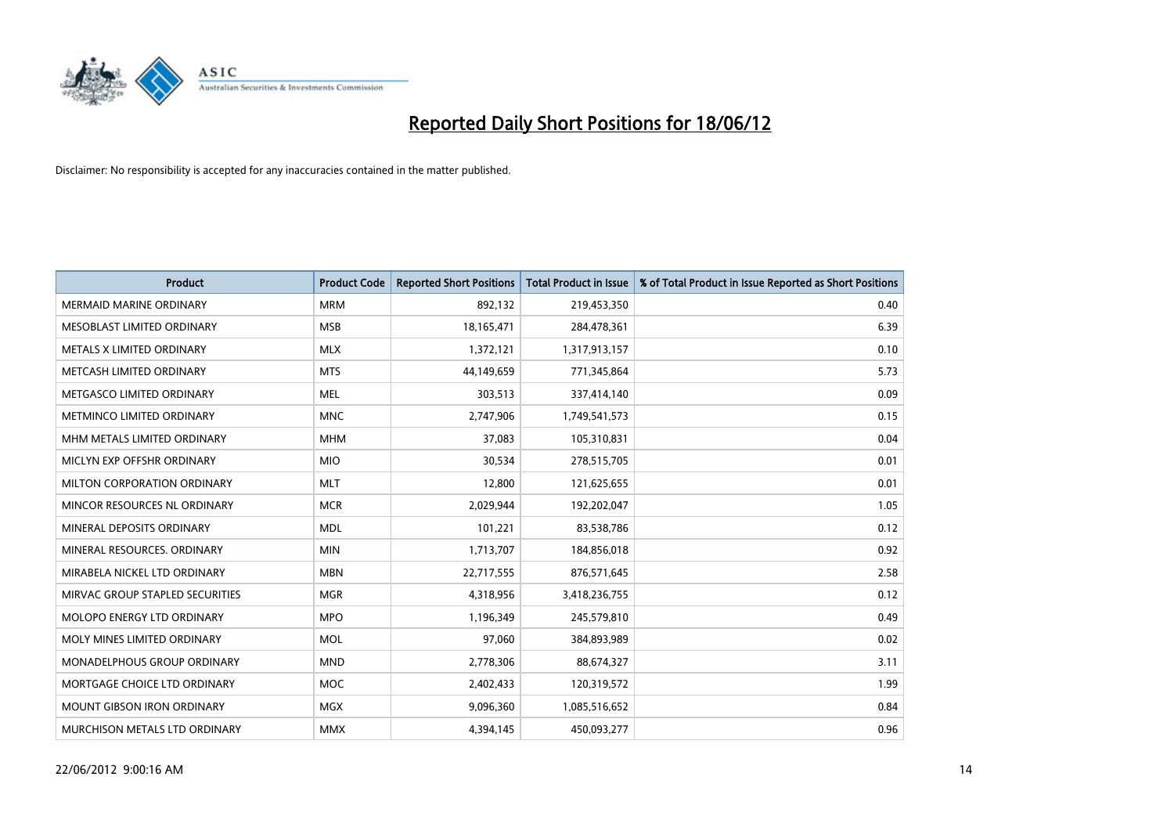

| <b>Product</b>                    | <b>Product Code</b> | <b>Reported Short Positions</b> | <b>Total Product in Issue</b> | % of Total Product in Issue Reported as Short Positions |
|-----------------------------------|---------------------|---------------------------------|-------------------------------|---------------------------------------------------------|
| <b>MERMAID MARINE ORDINARY</b>    | <b>MRM</b>          | 892,132                         | 219,453,350                   | 0.40                                                    |
| MESOBLAST LIMITED ORDINARY        | <b>MSB</b>          | 18,165,471                      | 284,478,361                   | 6.39                                                    |
| METALS X LIMITED ORDINARY         | <b>MLX</b>          | 1,372,121                       | 1,317,913,157                 | 0.10                                                    |
| METCASH LIMITED ORDINARY          | <b>MTS</b>          | 44,149,659                      | 771,345,864                   | 5.73                                                    |
| METGASCO LIMITED ORDINARY         | <b>MEL</b>          | 303,513                         | 337,414,140                   | 0.09                                                    |
| METMINCO LIMITED ORDINARY         | <b>MNC</b>          | 2,747,906                       | 1,749,541,573                 | 0.15                                                    |
| MHM METALS LIMITED ORDINARY       | <b>MHM</b>          | 37,083                          | 105,310,831                   | 0.04                                                    |
| MICLYN EXP OFFSHR ORDINARY        | <b>MIO</b>          | 30,534                          | 278,515,705                   | 0.01                                                    |
| MILTON CORPORATION ORDINARY       | <b>MLT</b>          | 12,800                          | 121,625,655                   | 0.01                                                    |
| MINCOR RESOURCES NL ORDINARY      | <b>MCR</b>          | 2,029,944                       | 192,202,047                   | 1.05                                                    |
| MINERAL DEPOSITS ORDINARY         | <b>MDL</b>          | 101,221                         | 83,538,786                    | 0.12                                                    |
| MINERAL RESOURCES, ORDINARY       | <b>MIN</b>          | 1,713,707                       | 184,856,018                   | 0.92                                                    |
| MIRABELA NICKEL LTD ORDINARY      | <b>MBN</b>          | 22,717,555                      | 876,571,645                   | 2.58                                                    |
| MIRVAC GROUP STAPLED SECURITIES   | <b>MGR</b>          | 4,318,956                       | 3,418,236,755                 | 0.12                                                    |
| MOLOPO ENERGY LTD ORDINARY        | <b>MPO</b>          | 1,196,349                       | 245,579,810                   | 0.49                                                    |
| MOLY MINES LIMITED ORDINARY       | <b>MOL</b>          | 97,060                          | 384,893,989                   | 0.02                                                    |
| MONADELPHOUS GROUP ORDINARY       | <b>MND</b>          | 2,778,306                       | 88,674,327                    | 3.11                                                    |
| MORTGAGE CHOICE LTD ORDINARY      | <b>MOC</b>          | 2,402,433                       | 120,319,572                   | 1.99                                                    |
| <b>MOUNT GIBSON IRON ORDINARY</b> | <b>MGX</b>          | 9,096,360                       | 1,085,516,652                 | 0.84                                                    |
| MURCHISON METALS LTD ORDINARY     | <b>MMX</b>          | 4,394,145                       | 450,093,277                   | 0.96                                                    |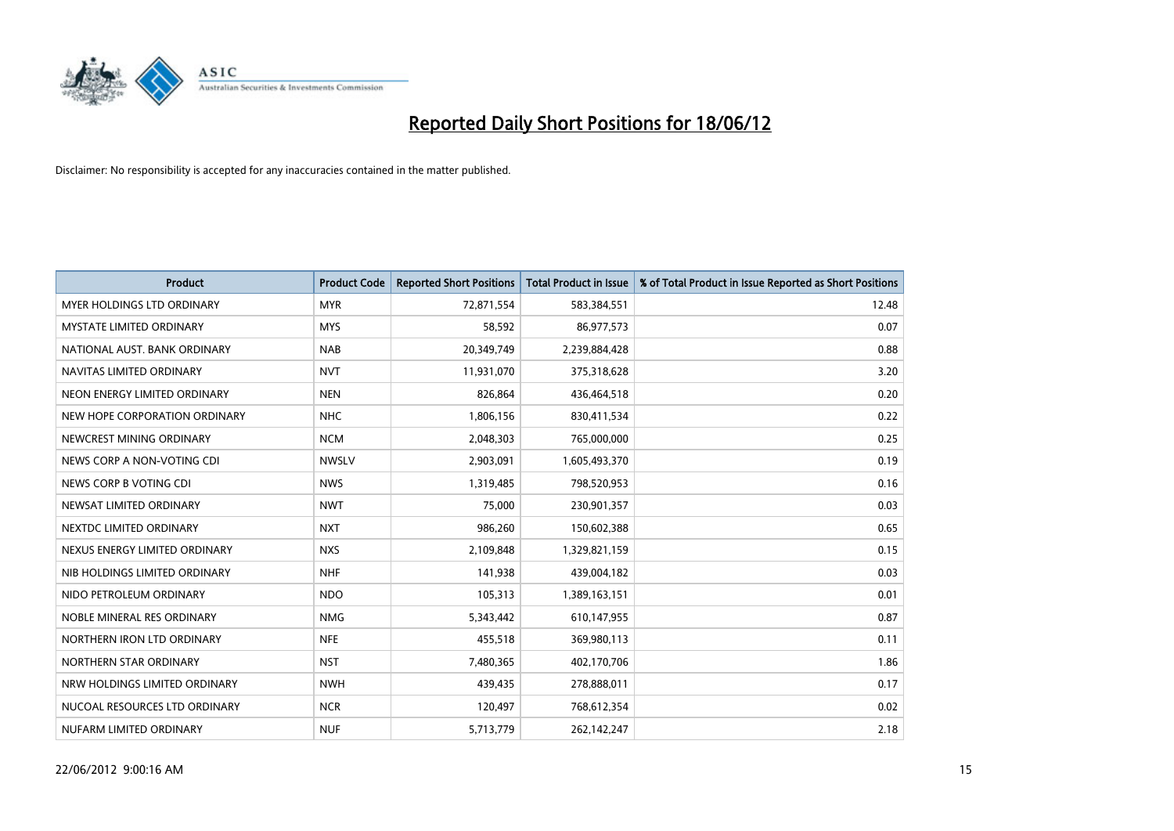

| <b>Product</b>                    | <b>Product Code</b> | <b>Reported Short Positions</b> | <b>Total Product in Issue</b> | % of Total Product in Issue Reported as Short Positions |
|-----------------------------------|---------------------|---------------------------------|-------------------------------|---------------------------------------------------------|
| <b>MYER HOLDINGS LTD ORDINARY</b> | <b>MYR</b>          | 72,871,554                      | 583,384,551                   | 12.48                                                   |
| <b>MYSTATE LIMITED ORDINARY</b>   | <b>MYS</b>          | 58,592                          | 86,977,573                    | 0.07                                                    |
| NATIONAL AUST, BANK ORDINARY      | <b>NAB</b>          | 20,349,749                      | 2,239,884,428                 | 0.88                                                    |
| NAVITAS LIMITED ORDINARY          | <b>NVT</b>          | 11,931,070                      | 375,318,628                   | 3.20                                                    |
| NEON ENERGY LIMITED ORDINARY      | <b>NEN</b>          | 826,864                         | 436,464,518                   | 0.20                                                    |
| NEW HOPE CORPORATION ORDINARY     | <b>NHC</b>          | 1,806,156                       | 830,411,534                   | 0.22                                                    |
| NEWCREST MINING ORDINARY          | <b>NCM</b>          | 2,048,303                       | 765,000,000                   | 0.25                                                    |
| NEWS CORP A NON-VOTING CDI        | <b>NWSLV</b>        | 2,903,091                       | 1,605,493,370                 | 0.19                                                    |
| NEWS CORP B VOTING CDI            | <b>NWS</b>          | 1,319,485                       | 798,520,953                   | 0.16                                                    |
| NEWSAT LIMITED ORDINARY           | <b>NWT</b>          | 75,000                          | 230,901,357                   | 0.03                                                    |
| NEXTDC LIMITED ORDINARY           | <b>NXT</b>          | 986,260                         | 150,602,388                   | 0.65                                                    |
| NEXUS ENERGY LIMITED ORDINARY     | <b>NXS</b>          | 2,109,848                       | 1,329,821,159                 | 0.15                                                    |
| NIB HOLDINGS LIMITED ORDINARY     | <b>NHF</b>          | 141,938                         | 439,004,182                   | 0.03                                                    |
| NIDO PETROLEUM ORDINARY           | <b>NDO</b>          | 105,313                         | 1,389,163,151                 | 0.01                                                    |
| NOBLE MINERAL RES ORDINARY        | <b>NMG</b>          | 5,343,442                       | 610,147,955                   | 0.87                                                    |
| NORTHERN IRON LTD ORDINARY        | <b>NFE</b>          | 455,518                         | 369,980,113                   | 0.11                                                    |
| NORTHERN STAR ORDINARY            | <b>NST</b>          | 7,480,365                       | 402,170,706                   | 1.86                                                    |
| NRW HOLDINGS LIMITED ORDINARY     | <b>NWH</b>          | 439,435                         | 278,888,011                   | 0.17                                                    |
| NUCOAL RESOURCES LTD ORDINARY     | <b>NCR</b>          | 120,497                         | 768,612,354                   | 0.02                                                    |
| NUFARM LIMITED ORDINARY           | <b>NUF</b>          | 5,713,779                       | 262,142,247                   | 2.18                                                    |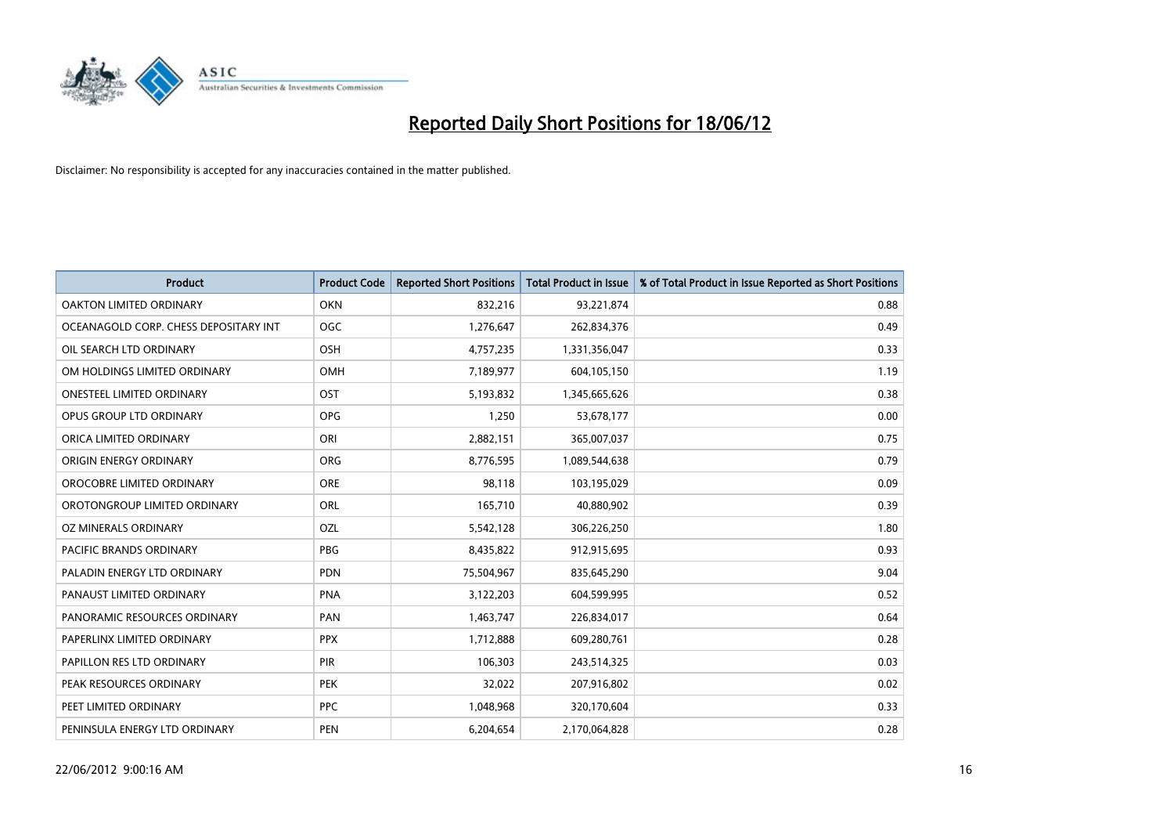

| <b>Product</b>                        | <b>Product Code</b> | <b>Reported Short Positions</b> | <b>Total Product in Issue</b> | % of Total Product in Issue Reported as Short Positions |
|---------------------------------------|---------------------|---------------------------------|-------------------------------|---------------------------------------------------------|
| <b>OAKTON LIMITED ORDINARY</b>        | <b>OKN</b>          | 832,216                         | 93,221,874                    | 0.88                                                    |
| OCEANAGOLD CORP. CHESS DEPOSITARY INT | <b>OGC</b>          | 1,276,647                       | 262,834,376                   | 0.49                                                    |
| OIL SEARCH LTD ORDINARY               | OSH                 | 4,757,235                       | 1,331,356,047                 | 0.33                                                    |
| OM HOLDINGS LIMITED ORDINARY          | <b>OMH</b>          | 7,189,977                       | 604,105,150                   | 1.19                                                    |
| <b>ONESTEEL LIMITED ORDINARY</b>      | OST                 | 5,193,832                       | 1,345,665,626                 | 0.38                                                    |
| OPUS GROUP LTD ORDINARY               | <b>OPG</b>          | 1,250                           | 53,678,177                    | 0.00                                                    |
| ORICA LIMITED ORDINARY                | ORI                 | 2,882,151                       | 365,007,037                   | 0.75                                                    |
| ORIGIN ENERGY ORDINARY                | <b>ORG</b>          | 8,776,595                       | 1,089,544,638                 | 0.79                                                    |
| OROCOBRE LIMITED ORDINARY             | <b>ORE</b>          | 98,118                          | 103,195,029                   | 0.09                                                    |
| OROTONGROUP LIMITED ORDINARY          | ORL                 | 165,710                         | 40,880,902                    | 0.39                                                    |
| OZ MINERALS ORDINARY                  | OZL                 | 5,542,128                       | 306,226,250                   | 1.80                                                    |
| PACIFIC BRANDS ORDINARY               | <b>PBG</b>          | 8,435,822                       | 912,915,695                   | 0.93                                                    |
| PALADIN ENERGY LTD ORDINARY           | <b>PDN</b>          | 75,504,967                      | 835,645,290                   | 9.04                                                    |
| PANAUST LIMITED ORDINARY              | <b>PNA</b>          | 3,122,203                       | 604,599,995                   | 0.52                                                    |
| PANORAMIC RESOURCES ORDINARY          | PAN                 | 1,463,747                       | 226,834,017                   | 0.64                                                    |
| PAPERLINX LIMITED ORDINARY            | <b>PPX</b>          | 1,712,888                       | 609,280,761                   | 0.28                                                    |
| PAPILLON RES LTD ORDINARY             | PIR                 | 106,303                         | 243,514,325                   | 0.03                                                    |
| PEAK RESOURCES ORDINARY               | <b>PEK</b>          | 32,022                          | 207,916,802                   | 0.02                                                    |
| PEET LIMITED ORDINARY                 | <b>PPC</b>          | 1,048,968                       | 320,170,604                   | 0.33                                                    |
| PENINSULA ENERGY LTD ORDINARY         | <b>PEN</b>          | 6,204,654                       | 2,170,064,828                 | 0.28                                                    |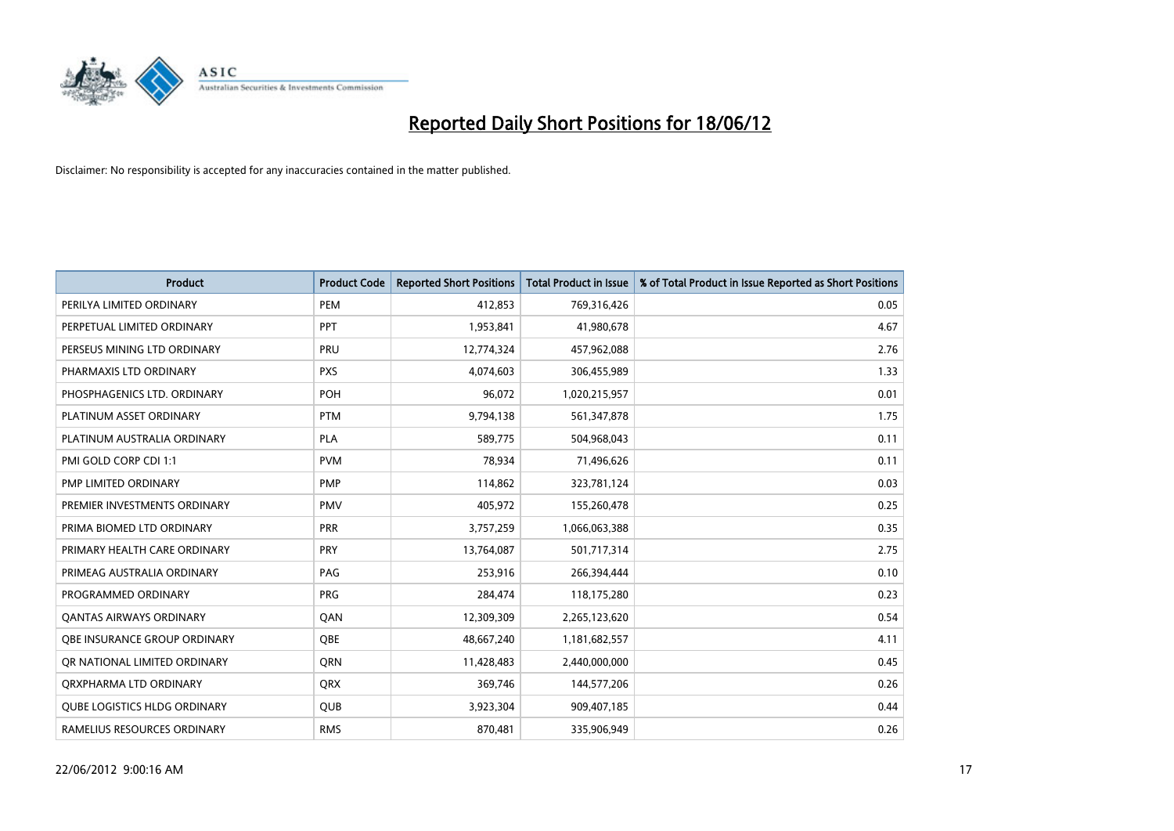

| <b>Product</b>                      | <b>Product Code</b> | <b>Reported Short Positions</b> | <b>Total Product in Issue</b> | % of Total Product in Issue Reported as Short Positions |
|-------------------------------------|---------------------|---------------------------------|-------------------------------|---------------------------------------------------------|
| PERILYA LIMITED ORDINARY            | PEM                 | 412,853                         | 769,316,426                   | 0.05                                                    |
| PERPETUAL LIMITED ORDINARY          | <b>PPT</b>          | 1,953,841                       | 41,980,678                    | 4.67                                                    |
| PERSEUS MINING LTD ORDINARY         | <b>PRU</b>          | 12,774,324                      | 457,962,088                   | 2.76                                                    |
| PHARMAXIS LTD ORDINARY              | <b>PXS</b>          | 4,074,603                       | 306,455,989                   | 1.33                                                    |
| PHOSPHAGENICS LTD. ORDINARY         | <b>POH</b>          | 96,072                          | 1,020,215,957                 | 0.01                                                    |
| PLATINUM ASSET ORDINARY             | <b>PTM</b>          | 9,794,138                       | 561,347,878                   | 1.75                                                    |
| PLATINUM AUSTRALIA ORDINARY         | <b>PLA</b>          | 589,775                         | 504,968,043                   | 0.11                                                    |
| PMI GOLD CORP CDI 1:1               | <b>PVM</b>          | 78,934                          | 71,496,626                    | 0.11                                                    |
| PMP LIMITED ORDINARY                | <b>PMP</b>          | 114,862                         | 323,781,124                   | 0.03                                                    |
| PREMIER INVESTMENTS ORDINARY        | <b>PMV</b>          | 405,972                         | 155,260,478                   | 0.25                                                    |
| PRIMA BIOMED LTD ORDINARY           | <b>PRR</b>          | 3,757,259                       | 1,066,063,388                 | 0.35                                                    |
| PRIMARY HEALTH CARE ORDINARY        | <b>PRY</b>          | 13,764,087                      | 501,717,314                   | 2.75                                                    |
| PRIMEAG AUSTRALIA ORDINARY          | PAG                 | 253,916                         | 266,394,444                   | 0.10                                                    |
| PROGRAMMED ORDINARY                 | <b>PRG</b>          | 284,474                         | 118,175,280                   | 0.23                                                    |
| <b>QANTAS AIRWAYS ORDINARY</b>      | QAN                 | 12,309,309                      | 2,265,123,620                 | 0.54                                                    |
| OBE INSURANCE GROUP ORDINARY        | <b>OBE</b>          | 48,667,240                      | 1,181,682,557                 | 4.11                                                    |
| OR NATIONAL LIMITED ORDINARY        | <b>ORN</b>          | 11,428,483                      | 2,440,000,000                 | 0.45                                                    |
| ORXPHARMA LTD ORDINARY              | QRX                 | 369,746                         | 144,577,206                   | 0.26                                                    |
| <b>QUBE LOGISTICS HLDG ORDINARY</b> | QUB                 | 3,923,304                       | 909,407,185                   | 0.44                                                    |
| RAMELIUS RESOURCES ORDINARY         | <b>RMS</b>          | 870,481                         | 335,906,949                   | 0.26                                                    |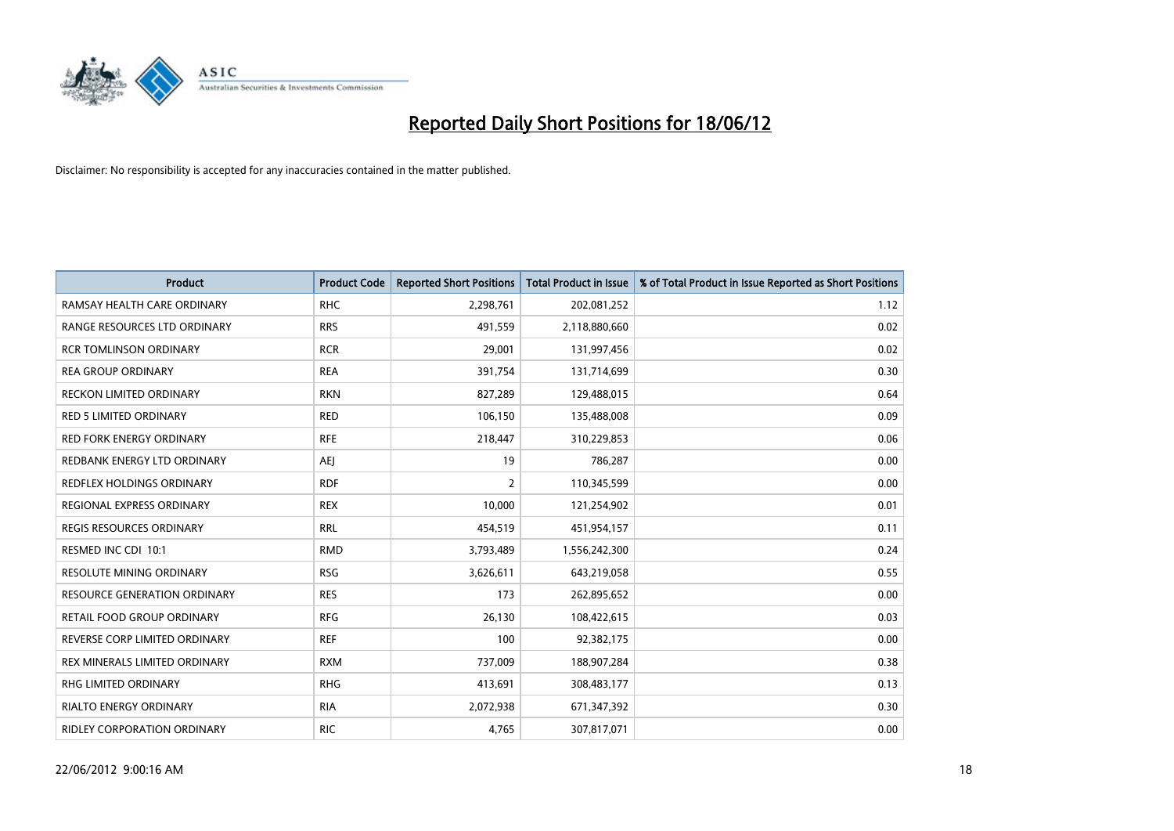

| Product                             | <b>Product Code</b> | <b>Reported Short Positions</b> | <b>Total Product in Issue</b> | % of Total Product in Issue Reported as Short Positions |
|-------------------------------------|---------------------|---------------------------------|-------------------------------|---------------------------------------------------------|
| RAMSAY HEALTH CARE ORDINARY         | <b>RHC</b>          | 2,298,761                       | 202,081,252                   | 1.12                                                    |
| RANGE RESOURCES LTD ORDINARY        | <b>RRS</b>          | 491,559                         | 2,118,880,660                 | 0.02                                                    |
| <b>RCR TOMLINSON ORDINARY</b>       | <b>RCR</b>          | 29,001                          | 131,997,456                   | 0.02                                                    |
| <b>REA GROUP ORDINARY</b>           | <b>REA</b>          | 391,754                         | 131,714,699                   | 0.30                                                    |
| <b>RECKON LIMITED ORDINARY</b>      | <b>RKN</b>          | 827,289                         | 129,488,015                   | 0.64                                                    |
| <b>RED 5 LIMITED ORDINARY</b>       | <b>RED</b>          | 106,150                         | 135,488,008                   | 0.09                                                    |
| <b>RED FORK ENERGY ORDINARY</b>     | <b>RFE</b>          | 218,447                         | 310,229,853                   | 0.06                                                    |
| REDBANK ENERGY LTD ORDINARY         | AEJ                 | 19                              | 786,287                       | 0.00                                                    |
| <b>REDFLEX HOLDINGS ORDINARY</b>    | <b>RDF</b>          | $\overline{2}$                  | 110,345,599                   | 0.00                                                    |
| REGIONAL EXPRESS ORDINARY           | <b>REX</b>          | 10,000                          | 121,254,902                   | 0.01                                                    |
| REGIS RESOURCES ORDINARY            | <b>RRL</b>          | 454,519                         | 451,954,157                   | 0.11                                                    |
| RESMED INC CDI 10:1                 | <b>RMD</b>          | 3,793,489                       | 1,556,242,300                 | 0.24                                                    |
| <b>RESOLUTE MINING ORDINARY</b>     | <b>RSG</b>          | 3,626,611                       | 643,219,058                   | 0.55                                                    |
| <b>RESOURCE GENERATION ORDINARY</b> | <b>RES</b>          | 173                             | 262,895,652                   | 0.00                                                    |
| RETAIL FOOD GROUP ORDINARY          | <b>RFG</b>          | 26,130                          | 108,422,615                   | 0.03                                                    |
| REVERSE CORP LIMITED ORDINARY       | <b>REF</b>          | 100                             | 92,382,175                    | 0.00                                                    |
| REX MINERALS LIMITED ORDINARY       | <b>RXM</b>          | 737,009                         | 188,907,284                   | 0.38                                                    |
| <b>RHG LIMITED ORDINARY</b>         | <b>RHG</b>          | 413,691                         | 308,483,177                   | 0.13                                                    |
| <b>RIALTO ENERGY ORDINARY</b>       | <b>RIA</b>          | 2,072,938                       | 671,347,392                   | 0.30                                                    |
| RIDLEY CORPORATION ORDINARY         | <b>RIC</b>          | 4,765                           | 307,817,071                   | 0.00                                                    |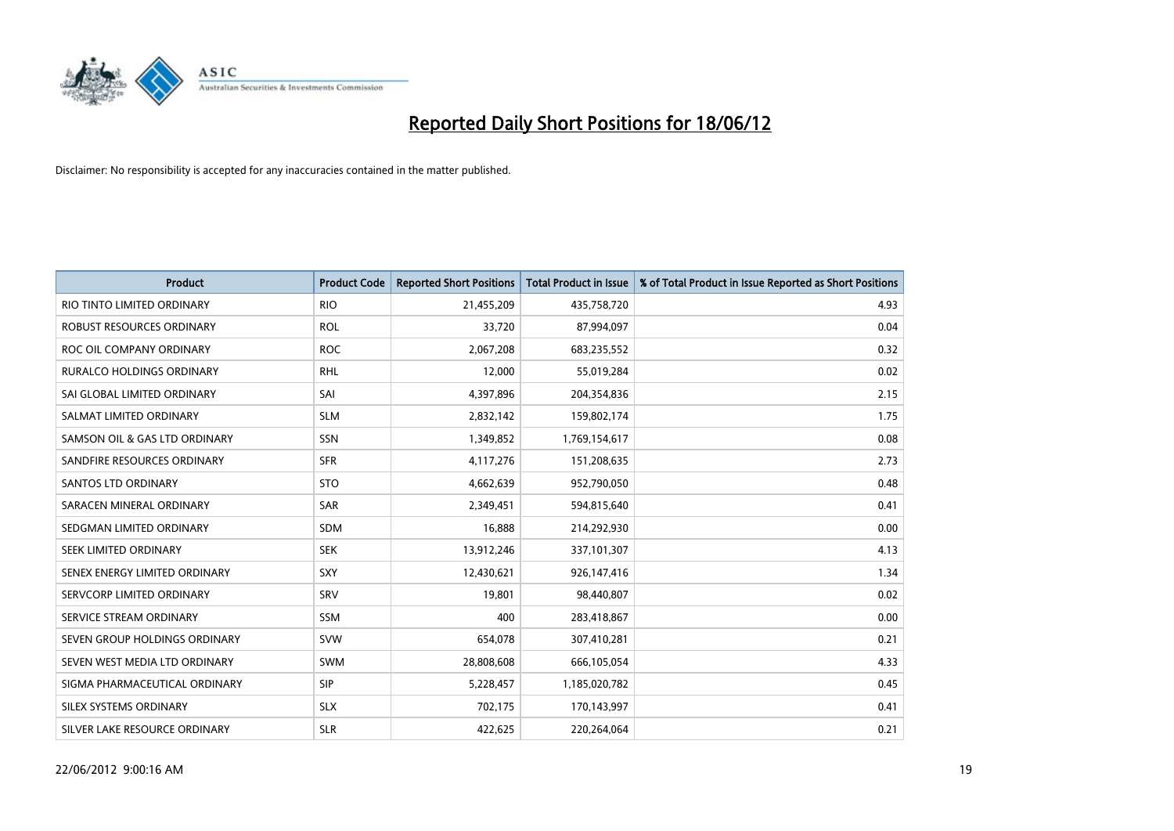

| <b>Product</b>                | <b>Product Code</b> | <b>Reported Short Positions</b> | <b>Total Product in Issue</b> | % of Total Product in Issue Reported as Short Positions |
|-------------------------------|---------------------|---------------------------------|-------------------------------|---------------------------------------------------------|
| RIO TINTO LIMITED ORDINARY    | <b>RIO</b>          | 21,455,209                      | 435,758,720                   | 4.93                                                    |
| ROBUST RESOURCES ORDINARY     | <b>ROL</b>          | 33,720                          | 87,994,097                    | 0.04                                                    |
| ROC OIL COMPANY ORDINARY      | <b>ROC</b>          | 2,067,208                       | 683,235,552                   | 0.32                                                    |
| RURALCO HOLDINGS ORDINARY     | <b>RHL</b>          | 12,000                          | 55,019,284                    | 0.02                                                    |
| SAI GLOBAL LIMITED ORDINARY   | SAI                 | 4,397,896                       | 204,354,836                   | 2.15                                                    |
| SALMAT LIMITED ORDINARY       | <b>SLM</b>          | 2,832,142                       | 159,802,174                   | 1.75                                                    |
| SAMSON OIL & GAS LTD ORDINARY | SSN                 | 1,349,852                       | 1,769,154,617                 | 0.08                                                    |
| SANDFIRE RESOURCES ORDINARY   | <b>SFR</b>          | 4,117,276                       | 151,208,635                   | 2.73                                                    |
| SANTOS LTD ORDINARY           | <b>STO</b>          | 4,662,639                       | 952,790,050                   | 0.48                                                    |
| SARACEN MINERAL ORDINARY      | <b>SAR</b>          | 2,349,451                       | 594,815,640                   | 0.41                                                    |
| SEDGMAN LIMITED ORDINARY      | SDM                 | 16,888                          | 214,292,930                   | 0.00                                                    |
| <b>SEEK LIMITED ORDINARY</b>  | <b>SEK</b>          | 13,912,246                      | 337,101,307                   | 4.13                                                    |
| SENEX ENERGY LIMITED ORDINARY | <b>SXY</b>          | 12,430,621                      | 926,147,416                   | 1.34                                                    |
| SERVCORP LIMITED ORDINARY     | SRV                 | 19,801                          | 98,440,807                    | 0.02                                                    |
| SERVICE STREAM ORDINARY       | <b>SSM</b>          | 400                             | 283,418,867                   | 0.00                                                    |
| SEVEN GROUP HOLDINGS ORDINARY | <b>SVW</b>          | 654,078                         | 307,410,281                   | 0.21                                                    |
| SEVEN WEST MEDIA LTD ORDINARY | SWM                 | 28,808,608                      | 666,105,054                   | 4.33                                                    |
| SIGMA PHARMACEUTICAL ORDINARY | <b>SIP</b>          | 5,228,457                       | 1,185,020,782                 | 0.45                                                    |
| SILEX SYSTEMS ORDINARY        | <b>SLX</b>          | 702,175                         | 170,143,997                   | 0.41                                                    |
| SILVER LAKE RESOURCE ORDINARY | <b>SLR</b>          | 422,625                         | 220,264,064                   | 0.21                                                    |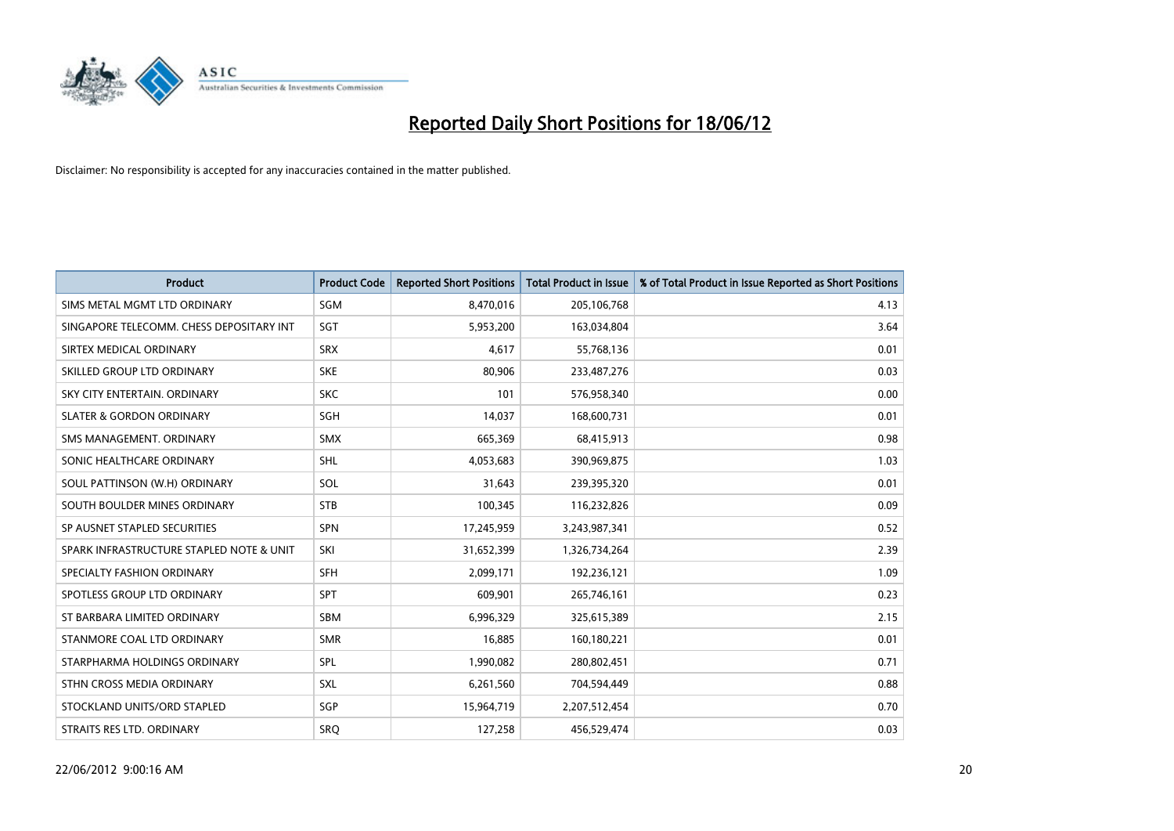

| <b>Product</b>                           | <b>Product Code</b> | <b>Reported Short Positions</b> | <b>Total Product in Issue</b> | % of Total Product in Issue Reported as Short Positions |
|------------------------------------------|---------------------|---------------------------------|-------------------------------|---------------------------------------------------------|
| SIMS METAL MGMT LTD ORDINARY             | SGM                 | 8,470,016                       | 205,106,768                   | 4.13                                                    |
| SINGAPORE TELECOMM. CHESS DEPOSITARY INT | SGT                 | 5,953,200                       | 163,034,804                   | 3.64                                                    |
| SIRTEX MEDICAL ORDINARY                  | <b>SRX</b>          | 4,617                           | 55,768,136                    | 0.01                                                    |
| SKILLED GROUP LTD ORDINARY               | <b>SKE</b>          | 80,906                          | 233,487,276                   | 0.03                                                    |
| SKY CITY ENTERTAIN, ORDINARY             | <b>SKC</b>          | 101                             | 576,958,340                   | 0.00                                                    |
| <b>SLATER &amp; GORDON ORDINARY</b>      | SGH                 | 14,037                          | 168,600,731                   | 0.01                                                    |
| SMS MANAGEMENT, ORDINARY                 | <b>SMX</b>          | 665,369                         | 68,415,913                    | 0.98                                                    |
| SONIC HEALTHCARE ORDINARY                | <b>SHL</b>          | 4,053,683                       | 390,969,875                   | 1.03                                                    |
| SOUL PATTINSON (W.H) ORDINARY            | SOL                 | 31,643                          | 239,395,320                   | 0.01                                                    |
| SOUTH BOULDER MINES ORDINARY             | <b>STB</b>          | 100,345                         | 116,232,826                   | 0.09                                                    |
| SP AUSNET STAPLED SECURITIES             | SPN                 | 17,245,959                      | 3,243,987,341                 | 0.52                                                    |
| SPARK INFRASTRUCTURE STAPLED NOTE & UNIT | SKI                 | 31,652,399                      | 1,326,734,264                 | 2.39                                                    |
| SPECIALTY FASHION ORDINARY               | <b>SFH</b>          | 2,099,171                       | 192,236,121                   | 1.09                                                    |
| SPOTLESS GROUP LTD ORDINARY              | <b>SPT</b>          | 609,901                         | 265,746,161                   | 0.23                                                    |
| ST BARBARA LIMITED ORDINARY              | <b>SBM</b>          | 6,996,329                       | 325,615,389                   | 2.15                                                    |
| STANMORE COAL LTD ORDINARY               | <b>SMR</b>          | 16,885                          | 160,180,221                   | 0.01                                                    |
| STARPHARMA HOLDINGS ORDINARY             | SPL                 | 1,990,082                       | 280,802,451                   | 0.71                                                    |
| STHN CROSS MEDIA ORDINARY                | SXL                 | 6,261,560                       | 704,594,449                   | 0.88                                                    |
| STOCKLAND UNITS/ORD STAPLED              | SGP                 | 15,964,719                      | 2,207,512,454                 | 0.70                                                    |
| STRAITS RES LTD. ORDINARY                | <b>SRQ</b>          | 127,258                         | 456,529,474                   | 0.03                                                    |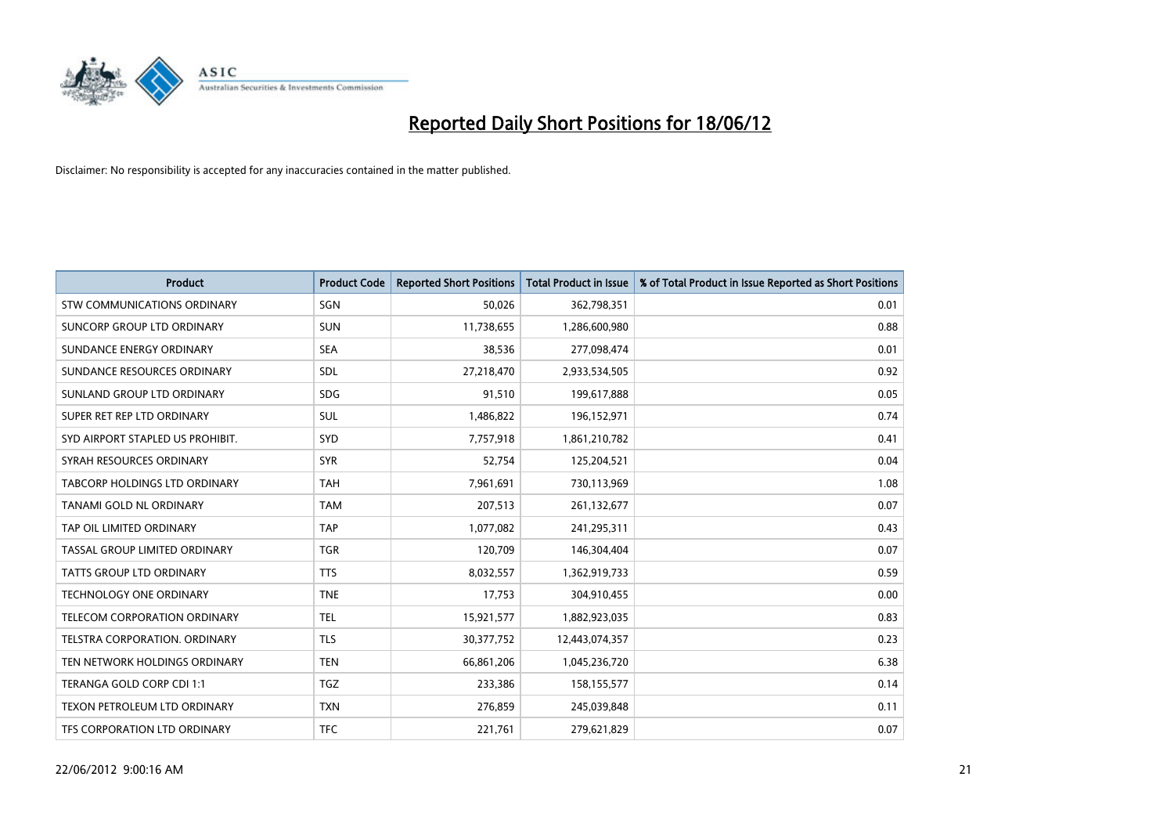

| <b>Product</b>                     | <b>Product Code</b> | <b>Reported Short Positions</b> | <b>Total Product in Issue</b> | % of Total Product in Issue Reported as Short Positions |
|------------------------------------|---------------------|---------------------------------|-------------------------------|---------------------------------------------------------|
| <b>STW COMMUNICATIONS ORDINARY</b> | SGN                 | 50,026                          | 362,798,351                   | 0.01                                                    |
| SUNCORP GROUP LTD ORDINARY         | <b>SUN</b>          | 11,738,655                      | 1,286,600,980                 | 0.88                                                    |
| SUNDANCE ENERGY ORDINARY           | <b>SEA</b>          | 38,536                          | 277,098,474                   | 0.01                                                    |
| SUNDANCE RESOURCES ORDINARY        | SDL                 | 27,218,470                      | 2,933,534,505                 | 0.92                                                    |
| SUNLAND GROUP LTD ORDINARY         | <b>SDG</b>          | 91,510                          | 199,617,888                   | 0.05                                                    |
| SUPER RET REP LTD ORDINARY         | <b>SUL</b>          | 1,486,822                       | 196,152,971                   | 0.74                                                    |
| SYD AIRPORT STAPLED US PROHIBIT.   | <b>SYD</b>          | 7,757,918                       | 1,861,210,782                 | 0.41                                                    |
| SYRAH RESOURCES ORDINARY           | <b>SYR</b>          | 52,754                          | 125,204,521                   | 0.04                                                    |
| TABCORP HOLDINGS LTD ORDINARY      | <b>TAH</b>          | 7,961,691                       | 730,113,969                   | 1.08                                                    |
| <b>TANAMI GOLD NL ORDINARY</b>     | <b>TAM</b>          | 207,513                         | 261,132,677                   | 0.07                                                    |
| TAP OIL LIMITED ORDINARY           | <b>TAP</b>          | 1,077,082                       | 241,295,311                   | 0.43                                                    |
| TASSAL GROUP LIMITED ORDINARY      | <b>TGR</b>          | 120,709                         | 146,304,404                   | 0.07                                                    |
| TATTS GROUP LTD ORDINARY           | <b>TTS</b>          | 8,032,557                       | 1,362,919,733                 | 0.59                                                    |
| <b>TECHNOLOGY ONE ORDINARY</b>     | <b>TNE</b>          | 17,753                          | 304,910,455                   | 0.00                                                    |
| TELECOM CORPORATION ORDINARY       | <b>TEL</b>          | 15,921,577                      | 1,882,923,035                 | 0.83                                                    |
| TELSTRA CORPORATION, ORDINARY      | <b>TLS</b>          | 30, 377, 752                    | 12,443,074,357                | 0.23                                                    |
| TEN NETWORK HOLDINGS ORDINARY      | <b>TEN</b>          | 66,861,206                      | 1,045,236,720                 | 6.38                                                    |
| TERANGA GOLD CORP CDI 1:1          | <b>TGZ</b>          | 233,386                         | 158,155,577                   | 0.14                                                    |
| TEXON PETROLEUM LTD ORDINARY       | <b>TXN</b>          | 276,859                         | 245,039,848                   | 0.11                                                    |
| TFS CORPORATION LTD ORDINARY       | <b>TFC</b>          | 221,761                         | 279,621,829                   | 0.07                                                    |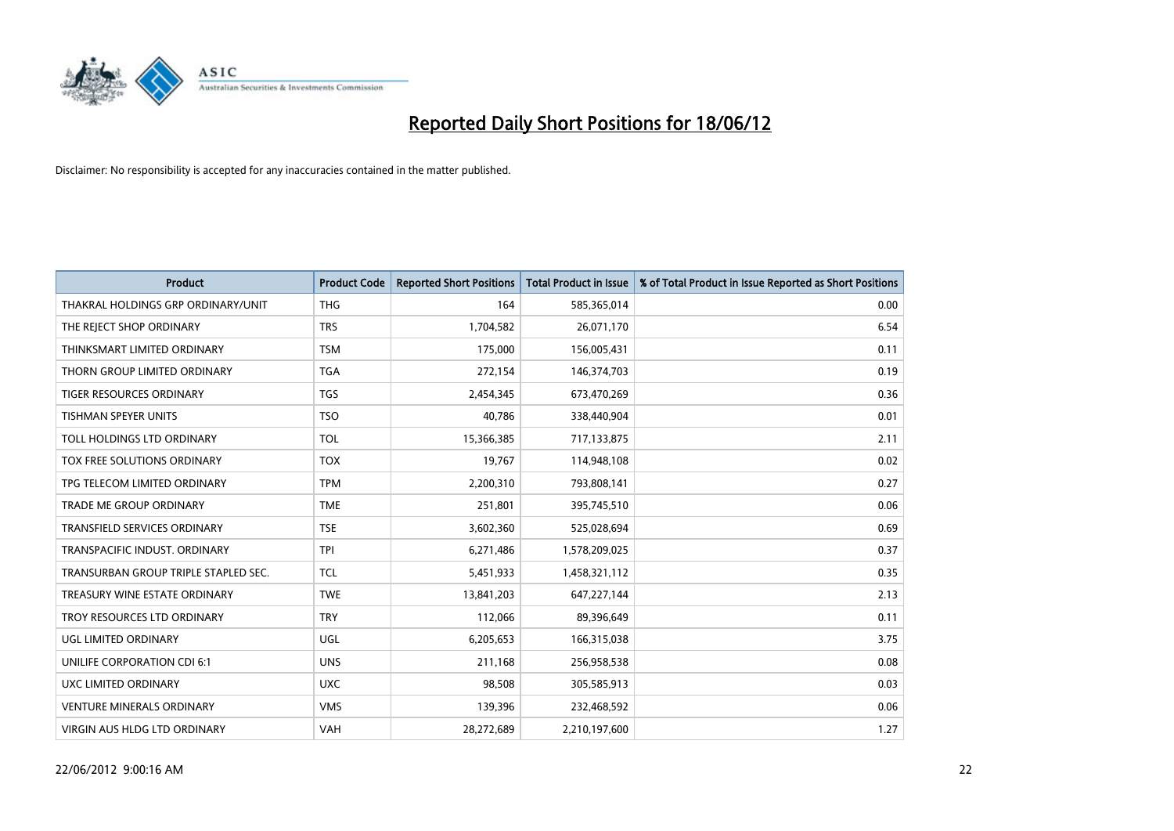

| <b>Product</b>                       | <b>Product Code</b> | <b>Reported Short Positions</b> | <b>Total Product in Issue</b> | % of Total Product in Issue Reported as Short Positions |
|--------------------------------------|---------------------|---------------------------------|-------------------------------|---------------------------------------------------------|
| THAKRAL HOLDINGS GRP ORDINARY/UNIT   | <b>THG</b>          | 164                             | 585,365,014                   | 0.00                                                    |
| THE REJECT SHOP ORDINARY             | <b>TRS</b>          | 1,704,582                       | 26,071,170                    | 6.54                                                    |
| THINKSMART LIMITED ORDINARY          | <b>TSM</b>          | 175,000                         | 156,005,431                   | 0.11                                                    |
| THORN GROUP LIMITED ORDINARY         | <b>TGA</b>          | 272,154                         | 146,374,703                   | 0.19                                                    |
| <b>TIGER RESOURCES ORDINARY</b>      | <b>TGS</b>          | 2,454,345                       | 673,470,269                   | 0.36                                                    |
| <b>TISHMAN SPEYER UNITS</b>          | <b>TSO</b>          | 40,786                          | 338,440,904                   | 0.01                                                    |
| TOLL HOLDINGS LTD ORDINARY           | <b>TOL</b>          | 15,366,385                      | 717,133,875                   | 2.11                                                    |
| TOX FREE SOLUTIONS ORDINARY          | <b>TOX</b>          | 19,767                          | 114,948,108                   | 0.02                                                    |
| TPG TELECOM LIMITED ORDINARY         | <b>TPM</b>          | 2,200,310                       | 793,808,141                   | 0.27                                                    |
| <b>TRADE ME GROUP ORDINARY</b>       | <b>TME</b>          | 251,801                         | 395,745,510                   | 0.06                                                    |
| TRANSFIELD SERVICES ORDINARY         | <b>TSE</b>          | 3,602,360                       | 525,028,694                   | 0.69                                                    |
| TRANSPACIFIC INDUST, ORDINARY        | <b>TPI</b>          | 6,271,486                       | 1,578,209,025                 | 0.37                                                    |
| TRANSURBAN GROUP TRIPLE STAPLED SEC. | <b>TCL</b>          | 5,451,933                       | 1,458,321,112                 | 0.35                                                    |
| TREASURY WINE ESTATE ORDINARY        | <b>TWE</b>          | 13,841,203                      | 647,227,144                   | 2.13                                                    |
| TROY RESOURCES LTD ORDINARY          | <b>TRY</b>          | 112,066                         | 89,396,649                    | 0.11                                                    |
| UGL LIMITED ORDINARY                 | UGL                 | 6,205,653                       | 166,315,038                   | 3.75                                                    |
| UNILIFE CORPORATION CDI 6:1          | <b>UNS</b>          | 211,168                         | 256,958,538                   | 0.08                                                    |
| UXC LIMITED ORDINARY                 | <b>UXC</b>          | 98,508                          | 305,585,913                   | 0.03                                                    |
| <b>VENTURE MINERALS ORDINARY</b>     | <b>VMS</b>          | 139,396                         | 232,468,592                   | 0.06                                                    |
| VIRGIN AUS HLDG LTD ORDINARY         | <b>VAH</b>          | 28,272,689                      | 2,210,197,600                 | 1.27                                                    |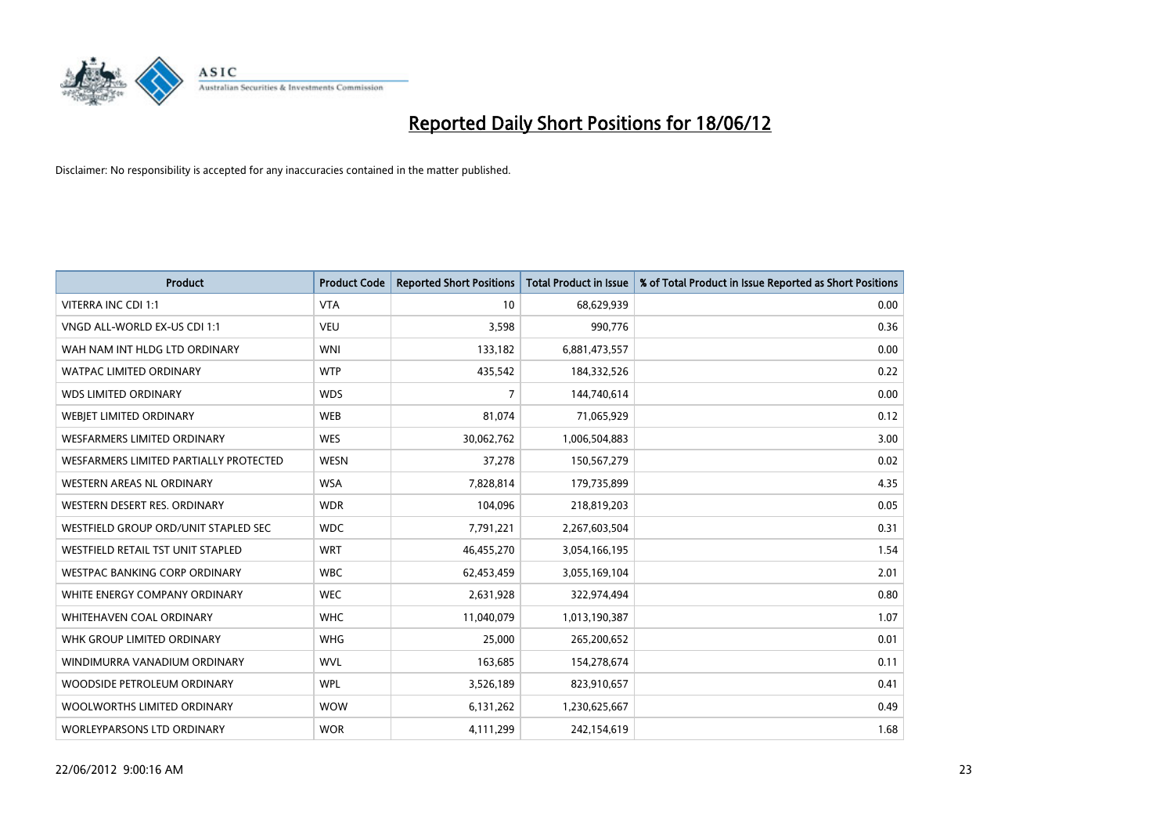

| <b>Product</b>                           | <b>Product Code</b> | <b>Reported Short Positions</b> | <b>Total Product in Issue</b> | % of Total Product in Issue Reported as Short Positions |
|------------------------------------------|---------------------|---------------------------------|-------------------------------|---------------------------------------------------------|
| VITERRA INC CDI 1:1                      | <b>VTA</b>          | 10                              | 68,629,939                    | 0.00                                                    |
| VNGD ALL-WORLD EX-US CDI 1:1             | <b>VEU</b>          | 3,598                           | 990,776                       | 0.36                                                    |
| WAH NAM INT HLDG LTD ORDINARY            | <b>WNI</b>          | 133,182                         | 6,881,473,557                 | 0.00                                                    |
| <b>WATPAC LIMITED ORDINARY</b>           | <b>WTP</b>          | 435,542                         | 184,332,526                   | 0.22                                                    |
| <b>WDS LIMITED ORDINARY</b>              | <b>WDS</b>          | $\overline{7}$                  | 144,740,614                   | 0.00                                                    |
| WEBJET LIMITED ORDINARY                  | <b>WEB</b>          | 81,074                          | 71,065,929                    | 0.12                                                    |
| <b>WESFARMERS LIMITED ORDINARY</b>       | <b>WES</b>          | 30,062,762                      | 1,006,504,883                 | 3.00                                                    |
| WESFARMERS LIMITED PARTIALLY PROTECTED   | <b>WESN</b>         | 37,278                          | 150,567,279                   | 0.02                                                    |
| WESTERN AREAS NL ORDINARY                | <b>WSA</b>          | 7,828,814                       | 179,735,899                   | 4.35                                                    |
| WESTERN DESERT RES. ORDINARY             | <b>WDR</b>          | 104,096                         | 218,819,203                   | 0.05                                                    |
| WESTFIELD GROUP ORD/UNIT STAPLED SEC     | <b>WDC</b>          | 7,791,221                       | 2,267,603,504                 | 0.31                                                    |
| <b>WESTFIELD RETAIL TST UNIT STAPLED</b> | <b>WRT</b>          | 46,455,270                      | 3,054,166,195                 | 1.54                                                    |
| WESTPAC BANKING CORP ORDINARY            | <b>WBC</b>          | 62,453,459                      | 3,055,169,104                 | 2.01                                                    |
| WHITE ENERGY COMPANY ORDINARY            | <b>WEC</b>          | 2,631,928                       | 322,974,494                   | 0.80                                                    |
| WHITEHAVEN COAL ORDINARY                 | <b>WHC</b>          | 11,040,079                      | 1,013,190,387                 | 1.07                                                    |
| WHK GROUP LIMITED ORDINARY               | <b>WHG</b>          | 25,000                          | 265,200,652                   | 0.01                                                    |
| WINDIMURRA VANADIUM ORDINARY             | <b>WVL</b>          | 163,685                         | 154,278,674                   | 0.11                                                    |
| WOODSIDE PETROLEUM ORDINARY              | <b>WPL</b>          | 3,526,189                       | 823,910,657                   | 0.41                                                    |
| WOOLWORTHS LIMITED ORDINARY              | <b>WOW</b>          | 6,131,262                       | 1,230,625,667                 | 0.49                                                    |
| <b>WORLEYPARSONS LTD ORDINARY</b>        | <b>WOR</b>          | 4,111,299                       | 242,154,619                   | 1.68                                                    |